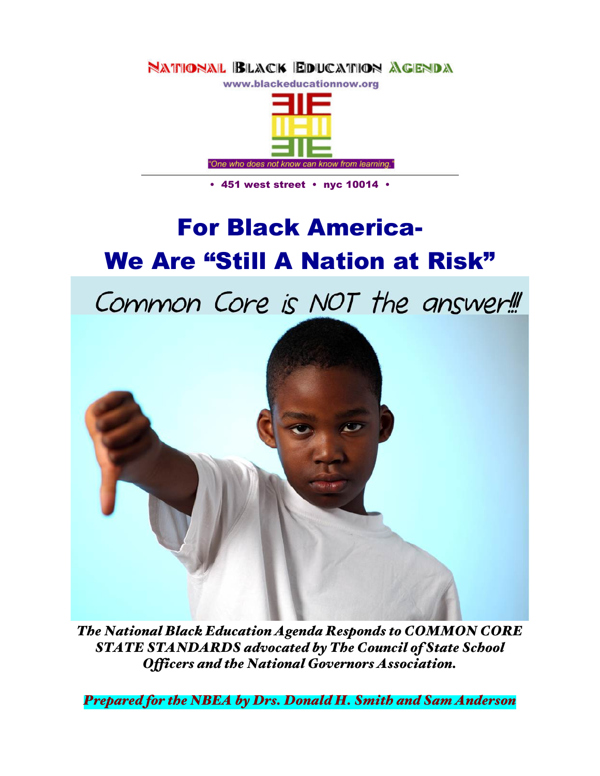

• 451 west street • nyc 10014 •

# For Black America-We Are "Still A Nation at Risk"

Common Core is NOT the answer!



*The National Black Education Agenda Responds to COMMON CORE STATE STANDARDS advocated by The Council of State School Officers and the National Governors Association.*

*Prepared for the NBEA by Drs. Donald H. Smith and Sam Anderson*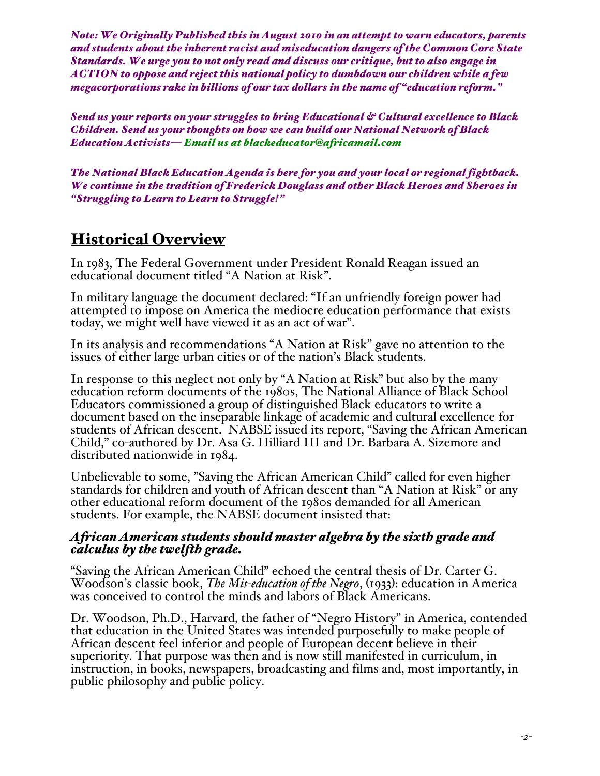*Note: We Originally Published this in August 2010 in an attempt to warn educators, parents and students about the inherent racist and miseducation dangers of the Common Core State Standards. We urge you to not only read and discuss our critique, but to also engage in ACTION to oppose and reject this national policy to dumbdown our children while a few megacorporations rake in billions of our tax dollars in the name of "education reform."*

*Send us your reports on your struggles to bring Educational & Cultural excellence to Black Children. Send us your thoughts on how we can build our National Network of Black Education Activists— Email us at blackeducator@africamail.com*

*The National Black Education Agenda is here for you and your local or regional fightback. We continue in the tradition of Frederick Douglass and other Black Heroes and Sheroes in "Struggling to Learn to Learn to Struggle!"*

# Historical Overview

In 1983, The Federal Government under President Ronald Reagan issued an educational document titled "A Nation at Risk".

In military language the document declared: "If an unfriendly foreign power had attempted to impose on America the mediocre education performance that exists today, we might well have viewed it as an act of war".

In its analysis and recommendations "A Nation at Risk" gave no attention to the issues of either large urban cities or of the nation's Black students.

In response to this neglect not only by "A Nation at Risk" but also by the many education reform documents of the 1980s, The National Alliance of Black School Educators commissioned a group of distinguished Black educators to write a document based on the inseparable linkage of academic and cultural excellence for students of African descent. NABSE issued its report, "Saving the African American Child," co-authored by Dr. Asa G. Hilliard III and Dr. Barbara A. Sizemore and distributed nationwide in 1984.

Unbelievable to some, "Saving the African American Child" called for even higher standards for children and youth of African descent than "A Nation at Risk" or any other educational reform document of the 1980s demanded for all American students. For example, the NABSE document insisted that:

#### *African American students should master algebra by the sixth grade and calculus by the twelfth grade.*

"Saving the African American Child" echoed the central thesis of Dr. Carter G. Woodson's classic book, *The Mis-education of the Negro*, (1933): education in America was conceived to control the minds and labors of Black Americans.

Dr. Woodson, Ph.D., Harvard, the father of "Negro History" in America, contended that education in the United States was intended purposefully to make people of African descent feel inferior and people of European decent believe in their superiority. That purpose was then and is now still manifested in curriculum, in instruction, in books, newspapers, broadcasting and films and, most importantly, in public philosophy and public policy.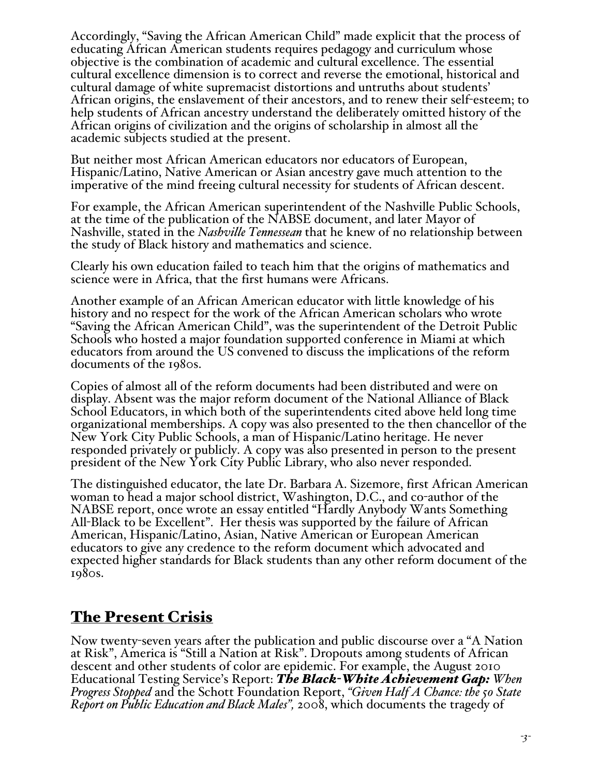Accordingly, "Saving the African American Child" made explicit that the process of educating African American students requires pedagogy and curriculum whose objective is the combination of academic and cultural excellence. The essential cultural excellence dimension is to correct and reverse the emotional, historical and cultural damage of white supremacist distortions and untruths about students' African origins, the enslavement of their ancestors, and to renew their self-esteem; to help students of African ancestry understand the deliberately omitted history of the African origins of civilization and the origins of scholarship in almost all the academic subjects studied at the present.

But neither most African American educators nor educators of European, Hispanic/Latino, Native American or Asian ancestry gave much attention to the imperative of the mind freeing cultural necessity for students of African descent.

For example, the African American superintendent of the Nashville Public Schools, at the time of the publication of the NABSE document, and later Mayor of Nashville, stated in the *Nashville Tennessean* that he knew of no relationship between the study of Black history and mathematics and science.

Clearly his own education failed to teach him that the origins of mathematics and science were in Africa, that the first humans were Africans.

Another example of an African American educator with little knowledge of his history and no respect for the work of the African American scholars who wrote "Saving the African American Child", was the superintendent of the Detroit Public Schools who hosted a major foundation supported conference in Miami at which educators from around the US convened to discuss the implications of the reform documents of the 1980s.

Copies of almost all of the reform documents had been distributed and were on display. Absent was the major reform document of the National Alliance of Black School Educators, in which both of the superintendents cited above held long time organizational memberships. A copy was also presented to the then chancellor of the New York City Public Schools, a man of Hispanic/Latino heritage. He never responded privately or publicly. A copy was also presented in person to the present president of the New York City Public Library, who also never responded.

The distinguished educator, the late Dr. Barbara A. Sizemore, first African American woman to head a major school district, Washington, D.C., and co-author of the NABSE report, once wrote an essay entitled "Hardly Anybody Wants Something All-Black to be Excellent". Her thesis was supported by the failure of African American, Hispanic/Latino, Asian, Native American or European American educators to give any credence to the reform document which advocated and expected higher standards for Black students than any other reform document of the 1980s.

# The Present Crisis

Now twenty-seven years after the publication and public discourse over a "A Nation at Risk", America is "Still a Nation at Risk". Dropouts among students of African descent and other students of color are epidemic. For example, the August 2010 Educational Testing Service's Report: *The Black-White Achievement Gap: When Progress Stopped* and the Schott Foundation Report, *"Given Half A Chance: the 50 State Report on Public Education and Black Males",* 2008, which documents the tragedy of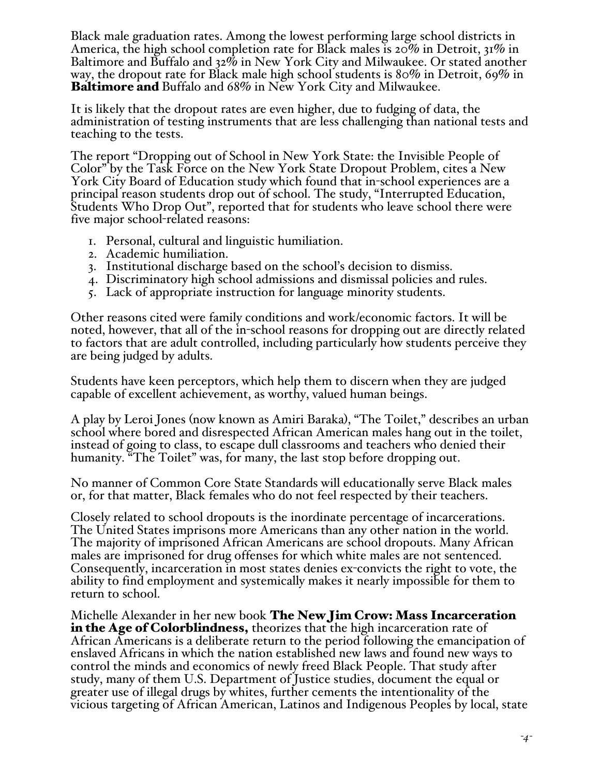Black male graduation rates. Among the lowest performing large school districts in America, the high school completion rate for Black males is 20% in Detroit, 31% in Baltimore and Buffalo and 32% in New York City and Milwaukee. Or stated another way, the dropout rate for Black male high school students is 80% in Detroit, 69% in Baltimore and Buffalo and 68% in New York City and Milwaukee.

It is likely that the dropout rates are even higher, due to fudging of data, the administration of testing instruments that are less challenging than national tests and teaching to the tests.

The report "Dropping out of School in New York State: the Invisible People of Color" by the Task Force on the New York State Dropout Problem, cites a New York City Board of Education study which found that in-school experiences are a principal reason students drop out of school. The study, "Interrupted Education, Students Who Drop Out", reported that for students who leave school there were five major school-related reasons:

- 1. Personal, cultural and linguistic humiliation.
- 2. Academic humiliation.
- 3. Institutional discharge based on the school's decision to dismiss.
- 4. Discriminatory high school admissions and dismissal policies and rules.
- 5. Lack of appropriate instruction for language minority students.

Other reasons cited were family conditions and work/economic factors. It will be noted, however, that all of the in-school reasons for dropping out are directly related to factors that are adult controlled, including particularly how students perceive they are being judged by adults.

Students have keen perceptors, which help them to discern when they are judged capable of excellent achievement, as worthy, valued human beings.

A play by Leroi Jones (now known as Amiri Baraka), "The Toilet," describes an urban school where bored and disrespected African American males hang out in the toilet, instead of going to class, to escape dull classrooms and teachers who denied their humanity. "The Toilet" was, for many, the last stop before dropping out.

No manner of Common Core State Standards will educationally serve Black males or, for that matter, Black females who do not feel respected by their teachers.

Closely related to school dropouts is the inordinate percentage of incarcerations. The United States imprisons more Americans than any other nation in the world. The majority of imprisoned African Americans are school dropouts. Many African males are imprisoned for drug offenses for which white males are not sentenced. Consequently, incarceration in most states denies ex-convicts the right to vote, the ability to find employment and systemically makes it nearly impossible for them to return to school.

Michelle Alexander in her new book The New Jim Crow: Mass Incarceration in the Age of Colorblindness, theorizes that the high incarceration rate of African Americans is a deliberate return to the period following the emancipation of enslaved Africans in which the nation established new laws and found new ways to control the minds and economics of newly freed Black People. That study after study, many of them U.S. Department of Justice studies, document the equal or greater use of illegal drugs by whites, further cements the intentionality of the vicious targeting of African American, Latinos and Indigenous Peoples by local, state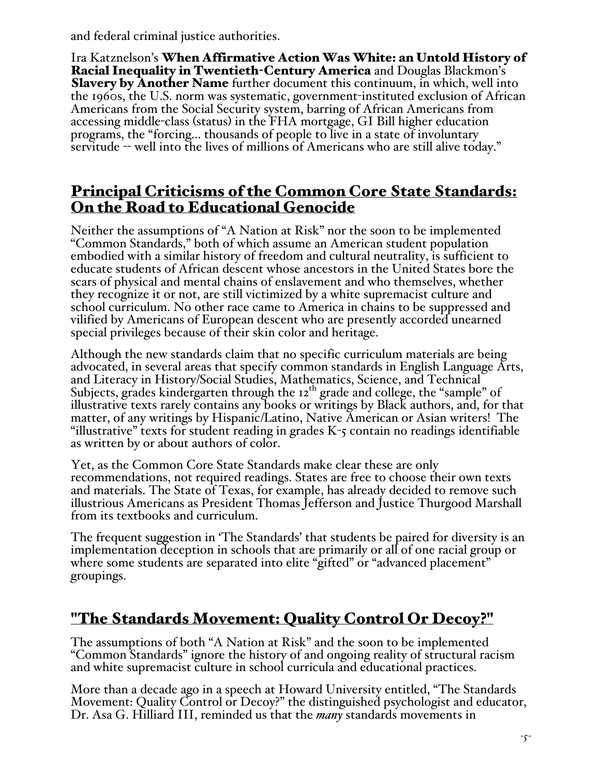and federal criminal justice authorities.

Ira Katznelson's When Affirmative Action Was White: an Untold History of Racial Inequality in Twentieth-Century America and Douglas Blackmon's Slavery by Another Name further document this continuum, in which, well into the 1960s, the U.S. norm was systematic, government-instituted exclusion of African Americans from the Social Security system, barring of African Americans from accessing middle-class (status) in the FHA mortgage, GI Bill higher education programs, the "forcing... thousands of people to live in a state of involuntary servitude -- well into the lives of millions of Americans who are still alive today."

# Principal Criticisms of the Common Core State Standards: On the Road to Educational Genocide

Neither the assumptions of "A Nation at Risk" nor the soon to be implemented "Common Standards," both of which assume an American student population embodied with a similar history of freedom and cultural neutrality, is sufficient to educate students of African descent whose ancestors in the United States bore the scars of physical and mental chains of enslavement and who themselves, whether they recognize it or not, are still victimized by a white supremacist culture and school curriculum. No other race came to America in chains to be suppressed and vilified by Americans of European descent who are presently accorded unearned special privileges because of their skin color and heritage.

Although the new standards claim that no specific curriculum materials are being advocated, in several areas that specify common standards in English Language Arts, and Literacy in History/Social Studies, Mathematics, Science, and Technical Subjects, grades kindergarten through the  $12<sup>th</sup>$  grade and college, the "sample" of illustrative texts rarely contains any books or writings by Black authors, and, for that matter, of any writings by Hispanic/Latino, Native American or Asian writers! The "illustrative" texts for student reading in grades K-5 contain no readings identifiable as written by or about authors of color.

Yet, as the Common Core State Standards make clear these are only recommendations, not required readings. States are free to choose their own texts and materials. The State of Texas, for example, has already decided to remove such illustrious Americans as President Thomas Jefferson and Justice Thurgood Marshall from its textbooks and curriculum.

The frequent suggestion in 'The Standards' that students be paired for diversity is an implementation deception in schools that are primarily or all of one racial group or where some students are separated into elite "gifted" or "advanced placement" groupings.

# "The Standards Movement: Quality Control Or Decoy?"

The assumptions of both "A Nation at Risk" and the soon to be implemented "Common Standards" ignore the history of and ongoing reality of structural racism and white supremacist culture in school curricula and educational practices.

More than a decade ago in a speech at Howard University entitled, "The Standards Movement: Quality Control or Decoy?" the distinguished psychologist and educator, Dr. Asa G. Hilliard III, reminded us that the *many* standards movements in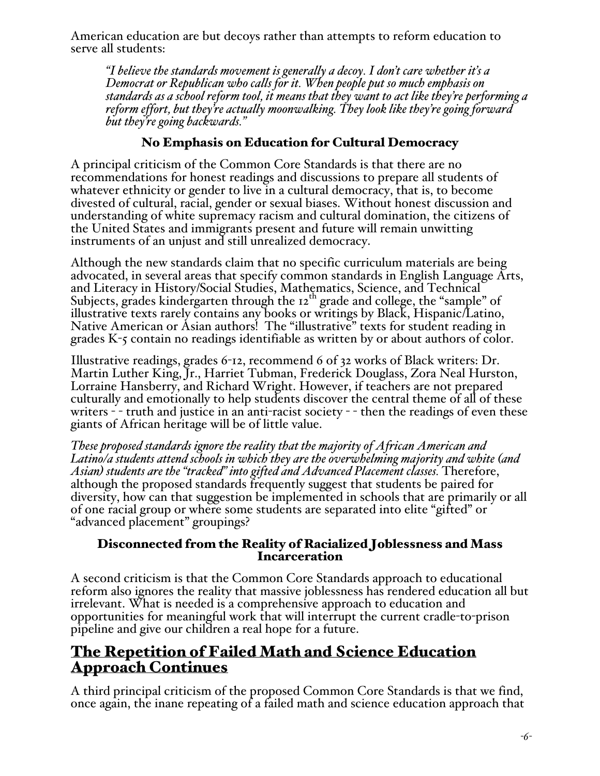American education are but decoys rather than attempts to reform education to serve all students:

*"I believe the standards movement is generally a decoy. I don't care whether it's a Democrat or Republican who calls for it. When people put so much emphasis on standards as a school reform tool, it means that they want to act like they're performing a reform effort, but they're actually moonwalking. They look like they're going forward but they're going backwards."* 

# No Emphasis on Education for Cultural Democracy

A principal criticism of the Common Core Standards is that there are no recommendations for honest readings and discussions to prepare all students of whatever ethnicity or gender to live in a cultural democracy, that is, to become divested of cultural, racial, gender or sexual biases. Without honest discussion and understanding of white supremacy racism and cultural domination, the citizens of the United States and immigrants present and future will remain unwitting instruments of an unjust and still unrealized democracy.

Although the new standards claim that no specific curriculum materials are being advocated, in several areas that specify common standards in English Language Arts, and Literacy in History/Social Studies, Mathematics, Science, and Technical Subjects, grades kindergarten through the 12<sup>th</sup> grade and college, the "sample" of illustrative texts rarely contains any books or writings by Black, Hispanic/Latino, Native American or Asian authors! The "illustrative" texts for student reading in grades K-5 contain no readings identifiable as written by or about authors of color.

Illustrative readings, grades 6-12, recommend 6 of 32 works of Black writers: Dr. Martin Luther King, Jr., Harriet Tubman, Frederick Douglass, Zora Neal Hurston, Lorraine Hansberry, and Richard Wright. However, if teachers are not prepared culturally and emotionally to help students discover the central theme of all of these writers - - truth and justice in an anti-racist society - - then the readings of even these giants of African heritage will be of little value.

*These proposed standards ignore the reality that the majority of African American and Latino/a students attend schools in which they are the overwhelming majority and white (and Asian) students are the "tracked" into gifted and Advanced Placement classes.* Therefore, although the proposed standards frequently suggest that students be paired for diversity, how can that suggestion be implemented in schools that are primarily or all of one racial group or where some students are separated into elite "gifted" or "advanced placement" groupings?

# Disconnected from the Reality of Racialized Joblessness and Mass Incarceration

A second criticism is that the Common Core Standards approach to educational reform also ignores the reality that massive joblessness has rendered education all but irrelevant. What is needed is a comprehensive approach to education and opportunities for meaningful work that will interrupt the current cradle-to-prison pipeline and give our children a real hope for a future.

# The Repetition of Failed Math and Science Education Approach Continues

A third principal criticism of the proposed Common Core Standards is that we find, once again, the inane repeating of a failed math and science education approach that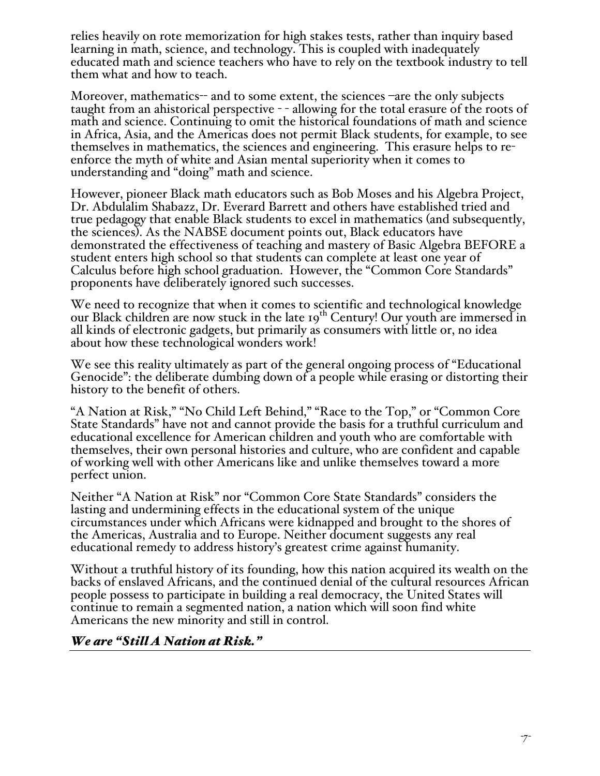relies heavily on rote memorization for high stakes tests, rather than inquiry based learning in math, science, and technology. This is coupled with inadequately educated math and science teachers who have to rely on the textbook industry to tell them what and how to teach.

Moreover, mathematics-- and to some extent, the sciences -are the only subjects taught from an ahistorical perspective - - allowing for the total erasure of the roots of math and science. Continuing to omit the historical foundations of math and science in Africa, Asia, and the Americas does not permit Black students, for example, to see themselves in mathematics, the sciences and engineering. This erasure helps to reenforce the myth of white and Asian mental superiority when it comes to understanding and "doing" math and science.

However, pioneer Black math educators such as Bob Moses and his Algebra Project, Dr. Abdulalim Shabazz, Dr. Everard Barrett and others have established tried and true pedagogy that enable Black students to excel in mathematics (and subsequently, the sciences). As the NABSE document points out, Black educators have demonstrated the effectiveness of teaching and mastery of Basic Algebra BEFORE a student enters high school so that students can complete at least one year of Calculus before high school graduation. However, the "Common Core Standards" proponents have deliberately ignored such successes.

We need to recognize that when it comes to scientific and technological knowledge our Black children are now stuck in the late 19<sup>th</sup> Century! Our youth are immersed in all kinds of electronic gadgets, but primarily as consumers with little or, no idea about how these technological wonders work!

We see this reality ultimately as part of the general ongoing process of "Educational Genocide": the deliberate dumbing down of a people while erasing or distorting their history to the benefit of others.

"A Nation at Risk," "No Child Left Behind," "Race to the Top," or "Common Core State Standards" have not and cannot provide the basis for a truthful curriculum and educational excellence for American children and youth who are comfortable with themselves, their own personal histories and culture, who are confident and capable of working well with other Americans like and unlike themselves toward a more perfect union.

Neither "A Nation at Risk" nor "Common Core State Standards" considers the lasting and undermining effects in the educational system of the unique circumstances under which Africans were kidnapped and brought to the shores of the Americas, Australia and to Europe. Neither document suggests any real educational remedy to address history's greatest crime against humanity.

Without a truthful history of its founding, how this nation acquired its wealth on the backs of enslaved Africans, and the continued denial of the cultural resources African people possess to participate in building a real democracy, the United States will continue to remain a segmented nation, a nation which will soon find white Americans the new minority and still in control.

#### *We are "Still A Nation at Risk."*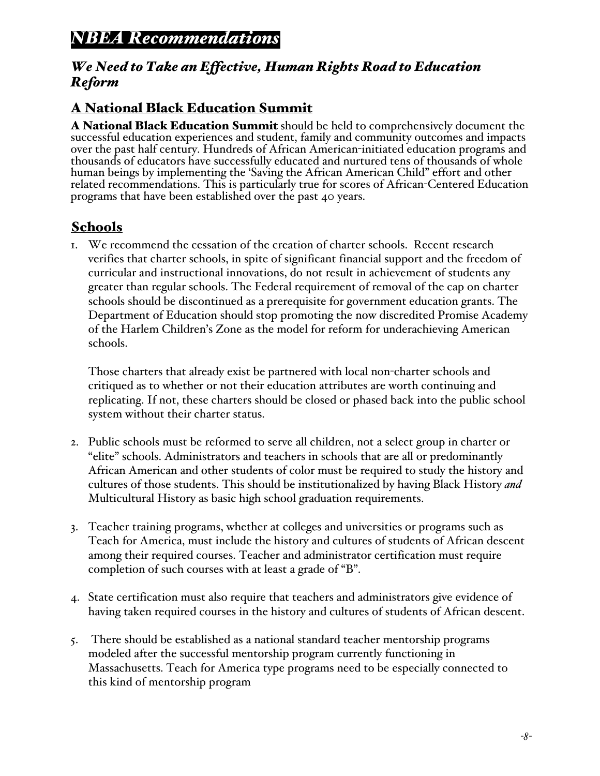# *NBEA Recommendations*

# *We Need to Take an Effective, Human Rights Road to Education Reform*

# A National Black Education Summit

A National Black Education Summit should be held to comprehensively document the successful education experiences and student, family and community outcomes and impacts over the past half century. Hundreds of African American-initiated education programs and thousands of educators have successfully educated and nurtured tens of thousands of whole human beings by implementing the 'Saving the African American Child" effort and other related recommendations. This is particularly true for scores of African-Centered Education programs that have been established over the past 40 years.

# Schools

1. We recommend the cessation of the creation of charter schools. Recent research verifies that charter schools, in spite of significant financial support and the freedom of curricular and instructional innovations, do not result in achievement of students any greater than regular schools. The Federal requirement of removal of the cap on charter schools should be discontinued as a prerequisite for government education grants. The Department of Education should stop promoting the now discredited Promise Academy of the Harlem Children's Zone as the model for reform for underachieving American schools.

Those charters that already exist be partnered with local non-charter schools and critiqued as to whether or not their education attributes are worth continuing and replicating. If not, these charters should be closed or phased back into the public school system without their charter status.

- 2. Public schools must be reformed to serve all children, not a select group in charter or "elite" schools. Administrators and teachers in schools that are all or predominantly African American and other students of color must be required to study the history and cultures of those students. This should be institutionalized by having Black History *and* Multicultural History as basic high school graduation requirements.
- 3. Teacher training programs, whether at colleges and universities or programs such as Teach for America, must include the history and cultures of students of African descent among their required courses. Teacher and administrator certification must require completion of such courses with at least a grade of "B".
- 4. State certification must also require that teachers and administrators give evidence of having taken required courses in the history and cultures of students of African descent.
- 5. There should be established as a national standard teacher mentorship programs modeled after the successful mentorship program currently functioning in Massachusetts. Teach for America type programs need to be especially connected to this kind of mentorship program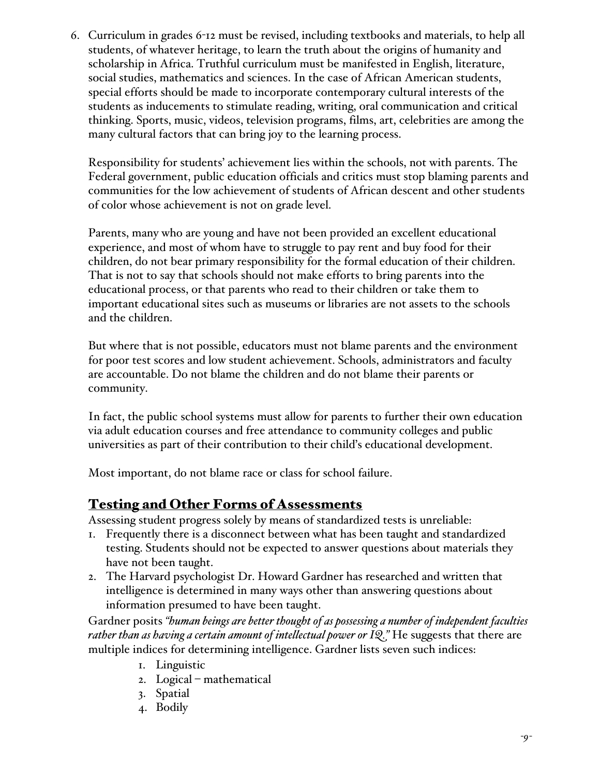6. Curriculum in grades 6-12 must be revised, including textbooks and materials, to help all students, of whatever heritage, to learn the truth about the origins of humanity and scholarship in Africa. Truthful curriculum must be manifested in English, literature, social studies, mathematics and sciences. In the case of African American students, special efforts should be made to incorporate contemporary cultural interests of the students as inducements to stimulate reading, writing, oral communication and critical thinking. Sports, music, videos, television programs, films, art, celebrities are among the many cultural factors that can bring joy to the learning process.

Responsibility for students' achievement lies within the schools, not with parents. The Federal government, public education officials and critics must stop blaming parents and communities for the low achievement of students of African descent and other students of color whose achievement is not on grade level.

Parents, many who are young and have not been provided an excellent educational experience, and most of whom have to struggle to pay rent and buy food for their children, do not bear primary responsibility for the formal education of their children. That is not to say that schools should not make efforts to bring parents into the educational process, or that parents who read to their children or take them to important educational sites such as museums or libraries are not assets to the schools and the children.

But where that is not possible, educators must not blame parents and the environment for poor test scores and low student achievement. Schools, administrators and faculty are accountable. Do not blame the children and do not blame their parents or community.

In fact, the public school systems must allow for parents to further their own education via adult education courses and free attendance to community colleges and public universities as part of their contribution to their child's educational development.

Most important, do not blame race or class for school failure.

# Testing and Other Forms of Assessments

Assessing student progress solely by means of standardized tests is unreliable:

- 1. Frequently there is a disconnect between what has been taught and standardized testing. Students should not be expected to answer questions about materials they have not been taught.
- 2. The Harvard psychologist Dr. Howard Gardner has researched and written that intelligence is determined in many ways other than answering questions about information presumed to have been taught.

Gardner posits *"human beings are better thought of as possessing a number of independent faculties rather than as having a certain amount of intellectual power or IQ."* He suggests that there are multiple indices for determining intelligence. Gardner lists seven such indices:

- 1. Linguistic
- 2. Logical mathematical
- 3. Spatial
- 4. Bodily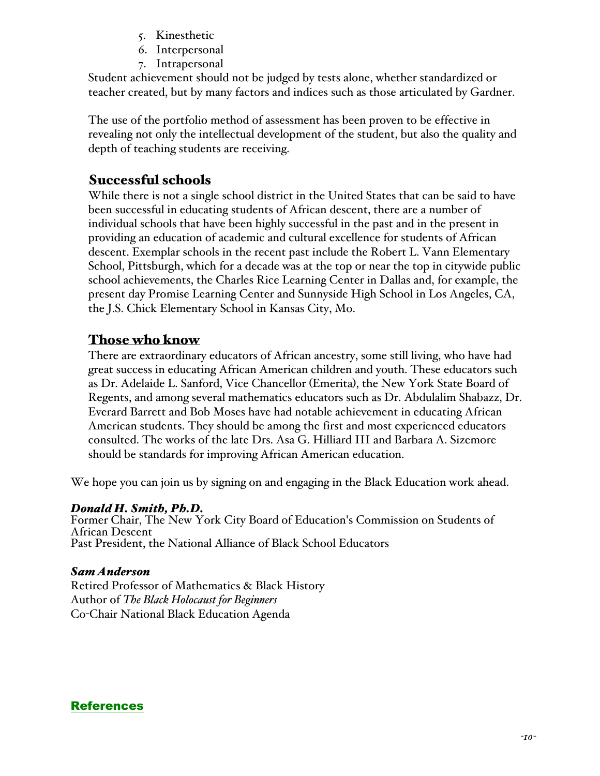- 5. Kinesthetic
- 6. Interpersonal
- 7. Intrapersonal

Student achievement should not be judged by tests alone, whether standardized or teacher created, but by many factors and indices such as those articulated by Gardner.

The use of the portfolio method of assessment has been proven to be effective in revealing not only the intellectual development of the student, but also the quality and depth of teaching students are receiving.

# Successful schools

While there is not a single school district in the United States that can be said to have been successful in educating students of African descent, there are a number of individual schools that have been highly successful in the past and in the present in providing an education of academic and cultural excellence for students of African descent. Exemplar schools in the recent past include the Robert L. Vann Elementary School, Pittsburgh, which for a decade was at the top or near the top in citywide public school achievements, the Charles Rice Learning Center in Dallas and, for example, the present day Promise Learning Center and Sunnyside High School in Los Angeles, CA, the J.S. Chick Elementary School in Kansas City, Mo.

# Those who know

There are extraordinary educators of African ancestry, some still living, who have had great success in educating African American children and youth. These educators such as Dr. Adelaide L. Sanford, Vice Chancellor (Emerita), the New York State Board of Regents, and among several mathematics educators such as Dr. Abdulalim Shabazz, Dr. Everard Barrett and Bob Moses have had notable achievement in educating African American students. They should be among the first and most experienced educators consulted. The works of the late Drs. Asa G. Hilliard III and Barbara A. Sizemore should be standards for improving African American education.

We hope you can join us by signing on and engaging in the Black Education work ahead.

#### *Donald H. Smith, Ph.D.*

Former Chair, The New York City Board of Education's Commission on Students of African Descent Past President, the National Alliance of Black School Educators

#### *Sam Anderson*

Retired Professor of Mathematics & Black History Author of *The Black Holocaust for Beginners* Co-Chair National Black Education Agenda

#### References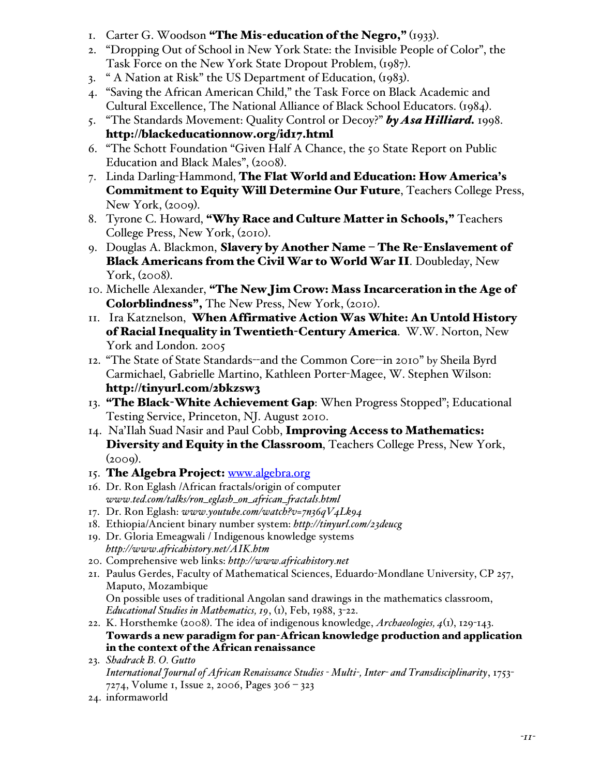- I. Carter G. Woodson "The Mis-education of the Negro," (1933).
- 2. "Dropping Out of School in New York State: the Invisible People of Color", the Task Force on the New York State Dropout Problem, (1987).
- 3. " A Nation at Risk" the US Department of Education, (1983).
- 4. "Saving the African American Child," the Task Force on Black Academic and Cultural Excellence, The National Alliance of Black School Educators. (1984).
- 5. "The Standards Movement: Quality Control or Decoy?" *by Asa Hilliard.* 1998. http://blackeducationnow.org/id17.html
- 6. "The Schott Foundation "Given Half A Chance, the 50 State Report on Public Education and Black Males", (2008).
- 7. Linda Darling-Hammond, The Flat World and Education: How America's Commitment to Equity Will Determine Our Future, Teachers College Press, New York, (2009).
- 8. Tyrone C. Howard, "Why Race and Culture Matter in Schools," Teachers College Press, New York, (2010).
- 9. Douglas A. Blackmon, Slavery by Another Name The Re-Enslavement of Black Americans from the Civil War to World War II. Doubleday, New York, (2008).
- 10. Michelle Alexander, "The New Jim Crow: Mass Incarceration in the Age of Colorblindness", The New Press, New York, (2010).
- 11. Ira Katznelson, When Affirmative Action Was White: An Untold History of Racial Inequality in Twentieth-Century America. W.W. Norton, New York and London. 2005
- 12. "The State of State Standards--and the Common Core--in 2010" by Sheila Byrd Carmichael, Gabrielle Martino, Kathleen Porter-Magee, W. Stephen Wilson: http://tinyurl.com/2bkzsw3
- 13. **"The Black-White Achievement Gap**: When Progress Stopped"; Educational Testing Service, Princeton, NJ. August 2010.
- 14. Na'Ilah Suad Nasir and Paul Cobb, Improving Access to Mathematics: Diversity and Equity in the Classroom, Teachers College Press, New York,  $(2009)$ .
- 15. The Algebra Project: www.algebra.org
- 16. Dr. Ron Eglash /African fractals/origin of computer *www.ted.com/talks/ron\_eglash\_on\_african\_fractals.html*
- 17. Dr. Ron Eglash: *www.youtube.com/watch?v=7n36qV4Lk94*
- 18. Ethiopia/Ancient binary number system: *http://tinyurl.com/23deucg*
- 19. Dr. Gloria Emeagwali / Indigenous knowledge systems *http://www.africahistory.net/AIK.htm*
- 20. Comprehensive web links: *http://www.africahistory.net*
- 21. Paulus Gerdes, Faculty of Mathematical Sciences, Eduardo-Mondlane University, CP 257, Maputo, Mozambique On possible uses of traditional Angolan sand drawings in the mathematics classroom, *Educational Studies in Mathematics, 19*, (1), Feb, 1988, 3-22.
- 22. K. Horsthemke (2008). The idea of indigenous knowledge, *Archaeologies, 4*(1), 129-143. Towards a new paradigm for pan-African knowledge production and application in the context of the African renaissance
- 23. *Shadrack B. O. Gutto International Journal of African Renaissance Studies - Multi-, Inter- and Transdisciplinarity*, 1753- 7274, Volume 1, Issue 2, 2006, Pages 306 – 323
- 24. informaworld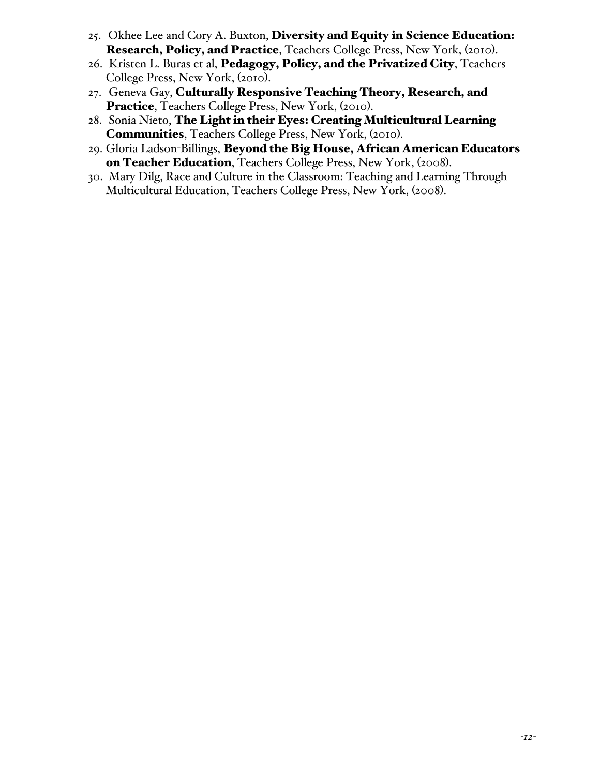- 25. Okhee Lee and Cory A. Buxton, Diversity and Equity in Science Education: Research, Policy, and Practice, Teachers College Press, New York, (2010).
- 26. Kristen L. Buras et al, Pedagogy, Policy, and the Privatized City, Teachers College Press, New York, (2010).
- 27. Geneva Gay, Culturally Responsive Teaching Theory, Research, and Practice, Teachers College Press, New York, (2010).
- 28. Sonia Nieto, The Light in their Eyes: Creating Multicultural Learning Communities, Teachers College Press, New York, (2010).
- 29. Gloria Ladson-Billings, Beyond the Big House, African American Educators on Teacher Education, Teachers College Press, New York, (2008).
- 30. Mary Dilg, Race and Culture in the Classroom: Teaching and Learning Through Multicultural Education, Teachers College Press, New York, (2008).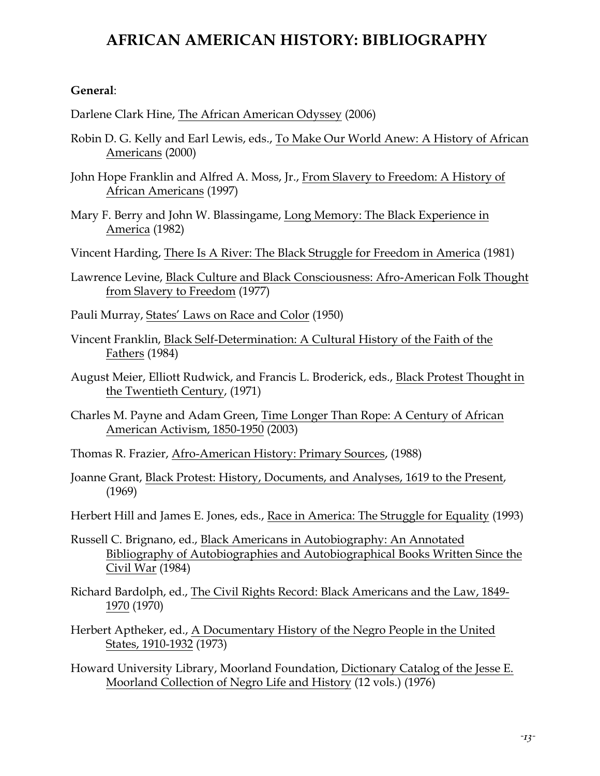# **AFRICAN AMERICAN HISTORY: BIBLIOGRAPHY**

#### **General**:

Darlene Clark Hine, The African American Odyssey (2006)

- Robin D. G. Kelly and Earl Lewis, eds., To Make Our World Anew: A History of African Americans (2000)
- John Hope Franklin and Alfred A. Moss, Jr., From Slavery to Freedom: A History of African Americans (1997)
- Mary F. Berry and John W. Blassingame, Long Memory: The Black Experience in America (1982)
- Vincent Harding, There Is A River: The Black Struggle for Freedom in America (1981)
- Lawrence Levine, Black Culture and Black Consciousness: Afro-American Folk Thought from Slavery to Freedom (1977)
- Pauli Murray, States' Laws on Race and Color (1950)
- Vincent Franklin, Black Self-Determination: A Cultural History of the Faith of the Fathers (1984)
- August Meier, Elliott Rudwick, and Francis L. Broderick, eds., Black Protest Thought in the Twentieth Century, (1971)
- Charles M. Payne and Adam Green, Time Longer Than Rope: A Century of African American Activism, 1850-1950 (2003)
- Thomas R. Frazier, Afro-American History: Primary Sources, (1988)
- Joanne Grant, Black Protest: History, Documents, and Analyses, 1619 to the Present, (1969)
- Herbert Hill and James E. Jones, eds., Race in America: The Struggle for Equality (1993)
- Russell C. Brignano, ed., Black Americans in Autobiography: An Annotated Bibliography of Autobiographies and Autobiographical Books Written Since the Civil War (1984)
- Richard Bardolph, ed., The Civil Rights Record: Black Americans and the Law, 1849- 1970 (1970)
- Herbert Aptheker, ed., A Documentary History of the Negro People in the United States, 1910-1932 (1973)
- Howard University Library, Moorland Foundation, Dictionary Catalog of the Jesse E. Moorland Collection of Negro Life and History (12 vols.) (1976)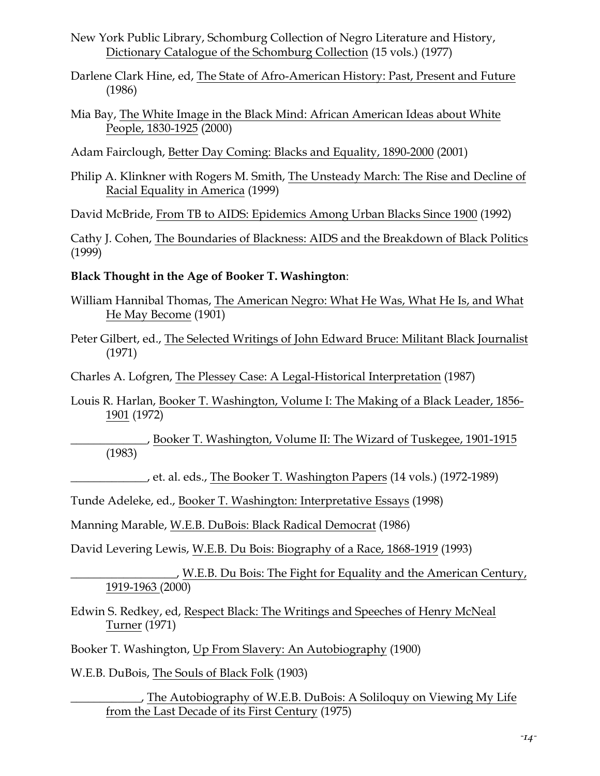- New York Public Library, Schomburg Collection of Negro Literature and History, Dictionary Catalogue of the Schomburg Collection (15 vols.) (1977)
- Darlene Clark Hine, ed, The State of Afro-American History: Past, Present and Future (1986)
- Mia Bay, The White Image in the Black Mind: African American Ideas about White People, 1830-1925 (2000)
- Adam Fairclough, Better Day Coming: Blacks and Equality, 1890-2000 (2001)
- Philip A. Klinkner with Rogers M. Smith, The Unsteady March: The Rise and Decline of Racial Equality in America (1999)

David McBride, From TB to AIDS: Epidemics Among Urban Blacks Since 1900 (1992)

Cathy J. Cohen, The Boundaries of Blackness: AIDS and the Breakdown of Black Politics (1999)

#### **Black Thought in the Age of Booker T. Washington**:

- William Hannibal Thomas, The American Negro: What He Was, What He Is, and What He May Become (1901)
- Peter Gilbert, ed., The Selected Writings of John Edward Bruce: Militant Black Journalist (1971)

Charles A. Lofgren, The Plessey Case: A Legal-Historical Interpretation (1987)

Louis R. Harlan, Booker T. Washington, Volume I: The Making of a Black Leader, 1856- 1901 (1972)

\_\_\_\_\_\_\_\_\_\_\_\_\_, Booker T. Washington, Volume II: The Wizard of Tuskegee, 1901-1915 (1983)

\_\_\_\_\_\_\_\_\_\_\_\_\_, et. al. eds., The Booker T. Washington Papers (14 vols.) (1972-1989)

Tunde Adeleke, ed., Booker T. Washington: Interpretative Essays (1998)

Manning Marable, W.E.B. DuBois: Black Radical Democrat (1986)

David Levering Lewis, W.E.B. Du Bois: Biography of a Race, 1868-1919 (1993)

\_\_\_\_\_\_\_\_\_\_\_\_\_\_\_\_\_\_, W.E.B. Du Bois: The Fight for Equality and the American Century, 1919-1963 (2000)

Edwin S. Redkey, ed, Respect Black: The Writings and Speeches of Henry McNeal Turner (1971)

Booker T. Washington, Up From Slavery: An Autobiography (1900)

W.E.B. DuBois, The Souls of Black Folk (1903)

\_\_\_\_\_\_\_\_\_\_\_\_, The Autobiography of W.E.B. DuBois: A Soliloquy on Viewing My Life from the Last Decade of its First Century (1975)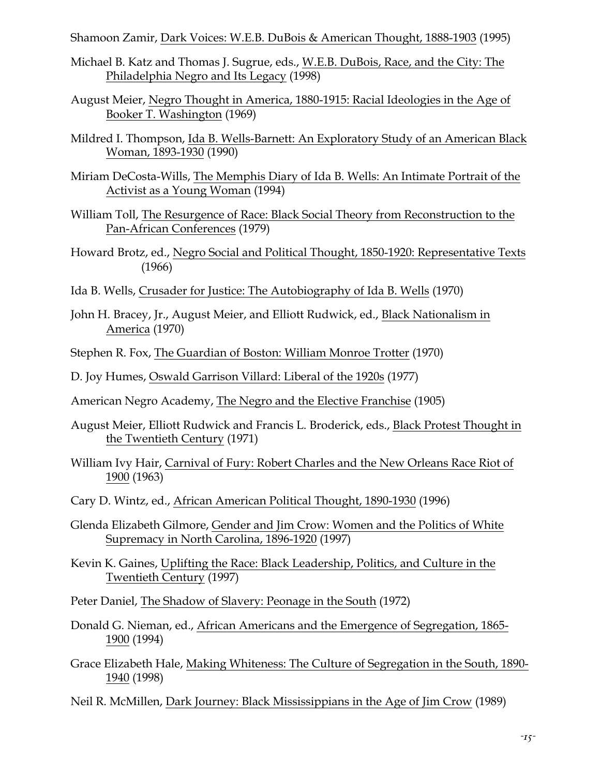Shamoon Zamir, Dark Voices: W.E.B. DuBois & American Thought, 1888-1903 (1995)

- Michael B. Katz and Thomas J. Sugrue, eds., W.E.B. DuBois, Race, and the City: The Philadelphia Negro and Its Legacy (1998)
- August Meier, Negro Thought in America, 1880-1915: Racial Ideologies in the Age of Booker T. Washington (1969)
- Mildred I. Thompson, Ida B. Wells-Barnett: An Exploratory Study of an American Black Woman, 1893-1930 (1990)
- Miriam DeCosta-Wills, The Memphis Diary of Ida B. Wells: An Intimate Portrait of the Activist as a Young Woman (1994)
- William Toll, The Resurgence of Race: Black Social Theory from Reconstruction to the Pan-African Conferences (1979)
- Howard Brotz, ed., Negro Social and Political Thought, 1850-1920: Representative Texts (1966)
- Ida B. Wells, Crusader for Justice: The Autobiography of Ida B. Wells (1970)
- John H. Bracey, Jr., August Meier, and Elliott Rudwick, ed., Black Nationalism in America (1970)
- Stephen R. Fox, The Guardian of Boston: William Monroe Trotter (1970)

D. Joy Humes, Oswald Garrison Villard: Liberal of the 1920s (1977)

- American Negro Academy, The Negro and the Elective Franchise (1905)
- August Meier, Elliott Rudwick and Francis L. Broderick, eds., Black Protest Thought in the Twentieth Century (1971)
- William Ivy Hair, Carnival of Fury: Robert Charles and the New Orleans Race Riot of 1900 (1963)
- Cary D. Wintz, ed., African American Political Thought, 1890-1930 (1996)
- Glenda Elizabeth Gilmore, Gender and Jim Crow: Women and the Politics of White Supremacy in North Carolina, 1896-1920 (1997)
- Kevin K. Gaines, Uplifting the Race: Black Leadership, Politics, and Culture in the Twentieth Century (1997)

Peter Daniel, The Shadow of Slavery: Peonage in the South (1972)

- Donald G. Nieman, ed., African Americans and the Emergence of Segregation, 1865- 1900 (1994)
- Grace Elizabeth Hale, Making Whiteness: The Culture of Segregation in the South, 1890- 1940 (1998)

Neil R. McMillen, Dark Journey: Black Mississippians in the Age of Jim Crow (1989)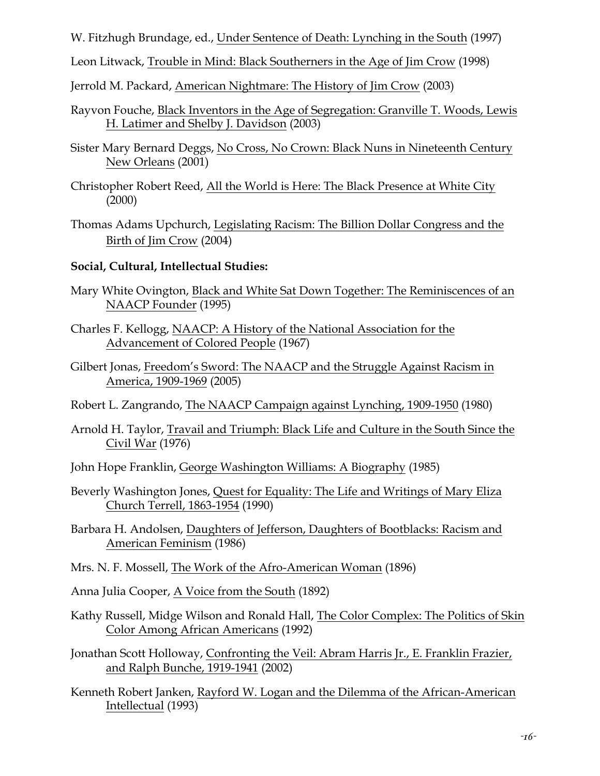W. Fitzhugh Brundage, ed., Under Sentence of Death: Lynching in the South (1997)

Leon Litwack, Trouble in Mind: Black Southerners in the Age of Jim Crow (1998)

Jerrold M. Packard, American Nightmare: The History of Jim Crow (2003)

- Rayvon Fouche, Black Inventors in the Age of Segregation: Granville T. Woods, Lewis H. Latimer and Shelby J. Davidson (2003)
- Sister Mary Bernard Deggs, No Cross, No Crown: Black Nuns in Nineteenth Century New Orleans (2001)
- Christopher Robert Reed, All the World is Here: The Black Presence at White City (2000)
- Thomas Adams Upchurch, Legislating Racism: The Billion Dollar Congress and the Birth of Jim Crow (2004)

#### **Social, Cultural, Intellectual Studies:**

- Mary White Ovington, Black and White Sat Down Together: The Reminiscences of an NAACP Founder (1995)
- Charles F. Kellogg, NAACP: A History of the National Association for the Advancement of Colored People (1967)
- Gilbert Jonas, Freedom's Sword: The NAACP and the Struggle Against Racism in America, 1909-1969 (2005)
- Robert L. Zangrando, The NAACP Campaign against Lynching, 1909-1950 (1980)
- Arnold H. Taylor, Travail and Triumph: Black Life and Culture in the South Since the Civil War (1976)
- John Hope Franklin, George Washington Williams: A Biography (1985)
- Beverly Washington Jones, Quest for Equality: The Life and Writings of Mary Eliza Church Terrell, 1863-1954 (1990)
- Barbara H. Andolsen, Daughters of Jefferson, Daughters of Bootblacks: Racism and American Feminism (1986)
- Mrs. N. F. Mossell, The Work of the Afro-American Woman (1896)
- Anna Julia Cooper, A Voice from the South (1892)
- Kathy Russell, Midge Wilson and Ronald Hall, The Color Complex: The Politics of Skin Color Among African Americans (1992)
- Jonathan Scott Holloway, Confronting the Veil: Abram Harris Jr., E. Franklin Frazier, and Ralph Bunche, 1919-1941 (2002)
- Kenneth Robert Janken, Rayford W. Logan and the Dilemma of the African-American Intellectual (1993)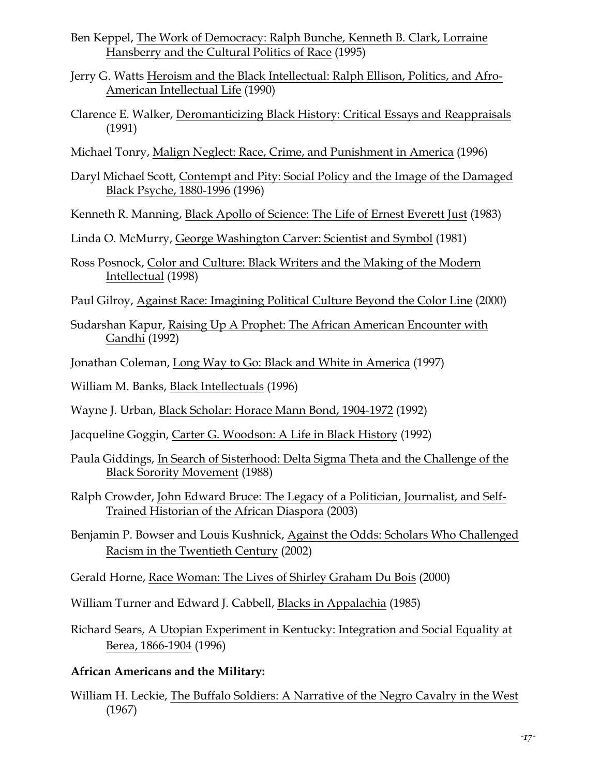- Ben Keppel, The Work of Democracy: Ralph Bunche, Kenneth B. Clark, Lorraine Hansberry and the Cultural Politics of Race (1995)
- Jerry G. Watts Heroism and the Black Intellectual: Ralph Ellison, Politics, and Afro-American Intellectual Life (1990)
- Clarence E. Walker, Deromanticizing Black History: Critical Essays and Reappraisals (1991)
- Michael Tonry, Malign Neglect: Race, Crime, and Punishment in America (1996)
- Daryl Michael Scott, Contempt and Pity: Social Policy and the Image of the Damaged Black Psyche, 1880-1996 (1996)
- Kenneth R. Manning, Black Apollo of Science: The Life of Ernest Everett Just (1983)
- Linda O. McMurry, George Washington Carver: Scientist and Symbol (1981)
- Ross Posnock, Color and Culture: Black Writers and the Making of the Modern Intellectual (1998)
- Paul Gilroy, Against Race: Imagining Political Culture Beyond the Color Line (2000)
- Sudarshan Kapur, Raising Up A Prophet: The African American Encounter with Gandhi (1992)
- Jonathan Coleman, Long Way to Go: Black and White in America (1997)
- William M. Banks, Black Intellectuals (1996)
- Wayne J. Urban, Black Scholar: Horace Mann Bond, 1904-1972 (1992)
- Jacqueline Goggin, Carter G. Woodson: A Life in Black History (1992)
- Paula Giddings, In Search of Sisterhood: Delta Sigma Theta and the Challenge of the Black Sorority Movement (1988)
- Ralph Crowder, John Edward Bruce: The Legacy of a Politician, Journalist, and Self-Trained Historian of the African Diaspora (2003)
- Benjamin P. Bowser and Louis Kushnick, Against the Odds: Scholars Who Challenged Racism in the Twentieth Century (2002)

Gerald Horne, Race Woman: The Lives of Shirley Graham Du Bois (2000)

William Turner and Edward J. Cabbell, Blacks in Appalachia (1985)

Richard Sears, A Utopian Experiment in Kentucky: Integration and Social Equality at Berea, 1866-1904 (1996)

# **African Americans and the Military:**

William H. Leckie, The Buffalo Soldiers: A Narrative of the Negro Cavalry in the West (1967)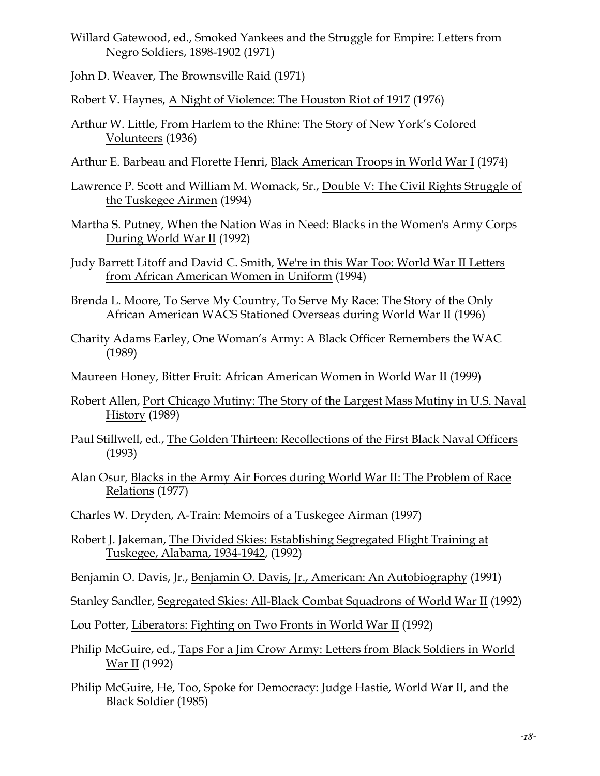- Willard Gatewood, ed., Smoked Yankees and the Struggle for Empire: Letters from Negro Soldiers, 1898-1902 (1971)
- John D. Weaver, The Brownsville Raid (1971)
- Robert V. Haynes, A Night of Violence: The Houston Riot of 1917 (1976)
- Arthur W. Little, From Harlem to the Rhine: The Story of New York's Colored Volunteers (1936)
- Arthur E. Barbeau and Florette Henri, Black American Troops in World War I (1974)
- Lawrence P. Scott and William M. Womack, Sr., Double V: The Civil Rights Struggle of the Tuskegee Airmen (1994)
- Martha S. Putney, When the Nation Was in Need: Blacks in the Women's Army Corps During World War II (1992)
- Judy Barrett Litoff and David C. Smith, We're in this War Too: World War II Letters from African American Women in Uniform (1994)
- Brenda L. Moore, To Serve My Country, To Serve My Race: The Story of the Only African American WACS Stationed Overseas during World War II (1996)
- Charity Adams Earley, One Woman's Army: A Black Officer Remembers the WAC (1989)
- Maureen Honey, Bitter Fruit: African American Women in World War II (1999)
- Robert Allen, Port Chicago Mutiny: The Story of the Largest Mass Mutiny in U.S. Naval History (1989)
- Paul Stillwell, ed., The Golden Thirteen: Recollections of the First Black Naval Officers (1993)
- Alan Osur, Blacks in the Army Air Forces during World War II: The Problem of Race Relations (1977)
- Charles W. Dryden, A-Train: Memoirs of a Tuskegee Airman (1997)
- Robert J. Jakeman, The Divided Skies: Establishing Segregated Flight Training at Tuskegee, Alabama, 1934-1942, (1992)
- Benjamin O. Davis, Jr., Benjamin O. Davis, Jr., American: An Autobiography (1991)
- Stanley Sandler, Segregated Skies: All-Black Combat Squadrons of World War II (1992)
- Lou Potter, Liberators: Fighting on Two Fronts in World War II (1992)
- Philip McGuire, ed., Taps For a Jim Crow Army: Letters from Black Soldiers in World War II (1992)
- Philip McGuire, He, Too, Spoke for Democracy: Judge Hastie, World War II, and the Black Soldier (1985)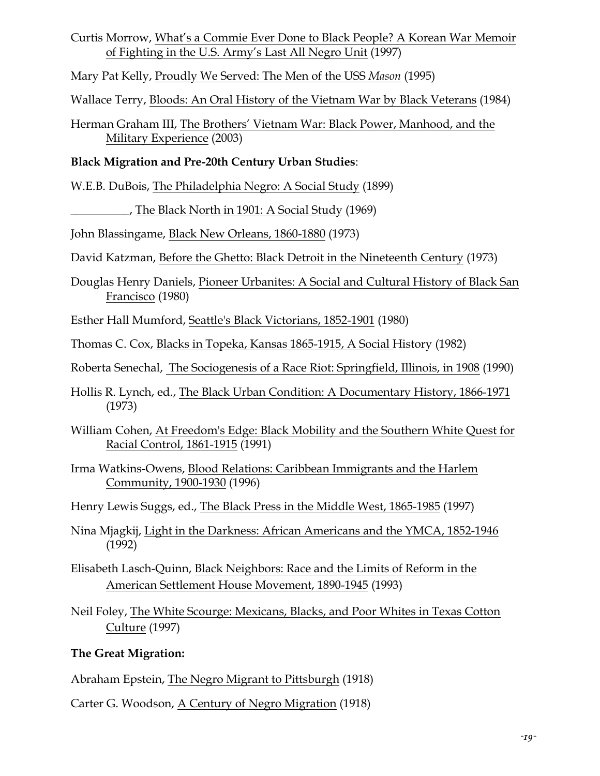Curtis Morrow, What's a Commie Ever Done to Black People? A Korean War Memoir of Fighting in the U.S. Army's Last All Negro Unit (1997)

Mary Pat Kelly, Proudly We Served: The Men of the USS *Mason* (1995)

Wallace Terry, Bloods: An Oral History of the Vietnam War by Black Veterans (1984)

Herman Graham III, The Brothers' Vietnam War: Black Power, Manhood, and the Military Experience (2003)

# **Black Migration and Pre-20th Century Urban Studies**:

W.E.B. DuBois, The Philadelphia Negro: A Social Study (1899)

\_\_\_\_\_\_\_\_\_\_, The Black North in 1901: A Social Study (1969)

John Blassingame, Black New Orleans, 1860-1880 (1973)

David Katzman, Before the Ghetto: Black Detroit in the Nineteenth Century (1973)

Douglas Henry Daniels, Pioneer Urbanites: A Social and Cultural History of Black San Francisco (1980)

Esther Hall Mumford, Seattle's Black Victorians, 1852-1901 (1980)

Thomas C. Cox, Blacks in Topeka, Kansas 1865-1915, A Social History (1982)

Roberta Senechal, The Sociogenesis of a Race Riot: Springfield, Illinois, in 1908 (1990)

- Hollis R. Lynch, ed., The Black Urban Condition: A Documentary History, 1866-1971 (1973)
- William Cohen, At Freedom's Edge: Black Mobility and the Southern White Quest for Racial Control, 1861-1915 (1991)
- Irma Watkins-Owens, Blood Relations: Caribbean Immigrants and the Harlem Community, 1900-1930 (1996)

Henry Lewis Suggs, ed., The Black Press in the Middle West, 1865-1985 (1997)

- Nina Mjagkij, Light in the Darkness: African Americans and the YMCA, 1852-1946 (1992)
- Elisabeth Lasch-Quinn, Black Neighbors: Race and the Limits of Reform in the American Settlement House Movement, 1890-1945 (1993)

Neil Foley, The White Scourge: Mexicans, Blacks, and Poor Whites in Texas Cotton Culture (1997)

# **The Great Migration:**

Abraham Epstein, The Negro Migrant to Pittsburgh (1918)

Carter G. Woodson, A Century of Negro Migration (1918)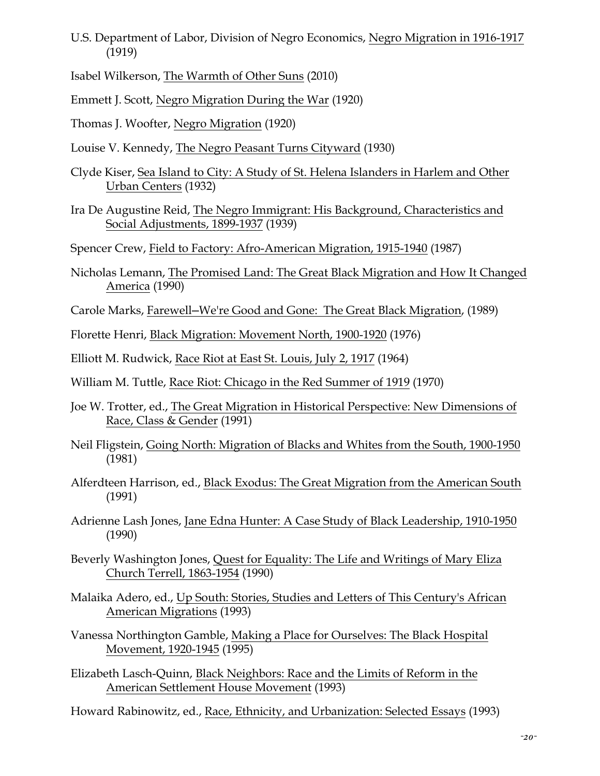U.S. Department of Labor, Division of Negro Economics, Negro Migration in 1916-1917 (1919)

Isabel Wilkerson, The Warmth of Other Suns (2010)

Emmett J. Scott, Negro Migration During the War (1920)

Thomas J. Woofter, Negro Migration (1920)

- Louise V. Kennedy, The Negro Peasant Turns Cityward (1930)
- Clyde Kiser, Sea Island to City: A Study of St. Helena Islanders in Harlem and Other Urban Centers (1932)
- Ira De Augustine Reid, The Negro Immigrant: His Background, Characteristics and Social Adjustments, 1899-1937 (1939)
- Spencer Crew, Field to Factory: Afro-American Migration, 1915-1940 (1987)
- Nicholas Lemann, The Promised Land: The Great Black Migration and How It Changed America (1990)
- Carole Marks, Farewell─We're Good and Gone: The Great Black Migration, (1989)
- Florette Henri, Black Migration: Movement North, 1900-1920 (1976)
- Elliott M. Rudwick, Race Riot at East St. Louis, July 2, 1917 (1964)
- William M. Tuttle, Race Riot: Chicago in the Red Summer of 1919 (1970)
- Joe W. Trotter, ed., The Great Migration in Historical Perspective: New Dimensions of Race, Class & Gender (1991)
- Neil Fligstein, Going North: Migration of Blacks and Whites from the South, 1900-1950 (1981)
- Alferdteen Harrison, ed., Black Exodus: The Great Migration from the American South (1991)
- Adrienne Lash Jones, Jane Edna Hunter: A Case Study of Black Leadership, 1910-1950 (1990)
- Beverly Washington Jones, Quest for Equality: The Life and Writings of Mary Eliza Church Terrell, 1863-1954 (1990)
- Malaika Adero, ed., Up South: Stories, Studies and Letters of This Century's African American Migrations (1993)
- Vanessa Northington Gamble, Making a Place for Ourselves: The Black Hospital Movement, 1920-1945 (1995)
- Elizabeth Lasch-Quinn, Black Neighbors: Race and the Limits of Reform in the American Settlement House Movement (1993)
- Howard Rabinowitz, ed., Race, Ethnicity, and Urbanization: Selected Essays (1993)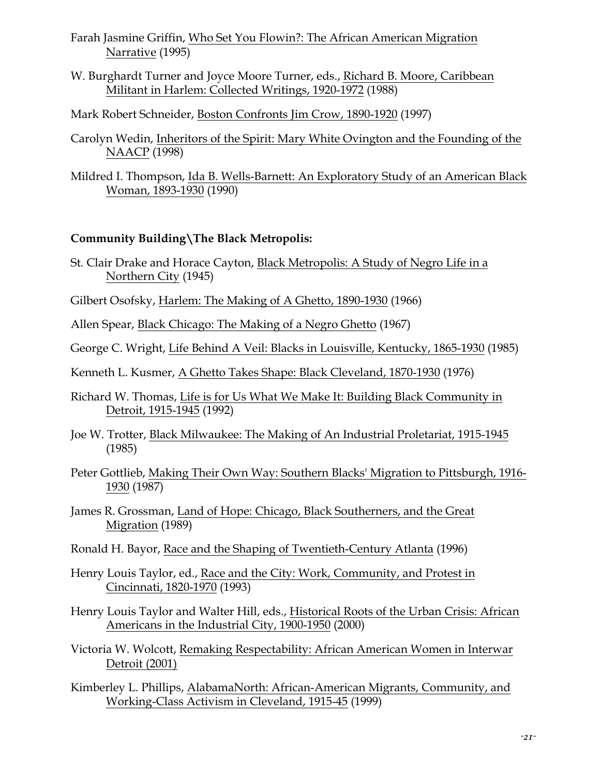Farah Jasmine Griffin, Who Set You Flowin?: The African American Migration Narrative (1995)

W. Burghardt Turner and Joyce Moore Turner, eds., Richard B. Moore, Caribbean Militant in Harlem: Collected Writings, 1920-1972 (1988)

Mark Robert Schneider, Boston Confronts Jim Crow, 1890-1920 (1997)

- Carolyn Wedin, Inheritors of the Spirit: Mary White Ovington and the Founding of the NAACP (1998)
- Mildred I. Thompson, Ida B. Wells-Barnett: An Exploratory Study of an American Black Woman, 1893-1930 (1990)

## **Community Building\The Black Metropolis:**

- St. Clair Drake and Horace Cayton, Black Metropolis: A Study of Negro Life in a Northern City (1945)
- Gilbert Osofsky, Harlem: The Making of A Ghetto, 1890-1930 (1966)
- Allen Spear, Black Chicago: The Making of a Negro Ghetto (1967)
- George C. Wright, Life Behind A Veil: Blacks in Louisville, Kentucky, 1865-1930 (1985)
- Kenneth L. Kusmer, A Ghetto Takes Shape: Black Cleveland, 1870-1930 (1976)
- Richard W. Thomas, Life is for Us What We Make It: Building Black Community in Detroit, 1915-1945 (1992)
- Joe W. Trotter, Black Milwaukee: The Making of An Industrial Proletariat, 1915-1945 (1985)
- Peter Gottlieb, Making Their Own Way: Southern Blacks' Migration to Pittsburgh, 1916- 1930 (1987)
- James R. Grossman, Land of Hope: Chicago, Black Southerners, and the Great Migration (1989)
- Ronald H. Bayor, Race and the Shaping of Twentieth-Century Atlanta (1996)
- Henry Louis Taylor, ed., Race and the City: Work, Community, and Protest in Cincinnati, 1820-1970 (1993)
- Henry Louis Taylor and Walter Hill, eds., Historical Roots of the Urban Crisis: African Americans in the Industrial City, 1900-1950 (2000)
- Victoria W. Wolcott, Remaking Respectability: African American Women in Interwar Detroit (2001)

Kimberley L. Phillips, AlabamaNorth: African-American Migrants, Community, and Working-Class Activism in Cleveland, 1915-45 (1999)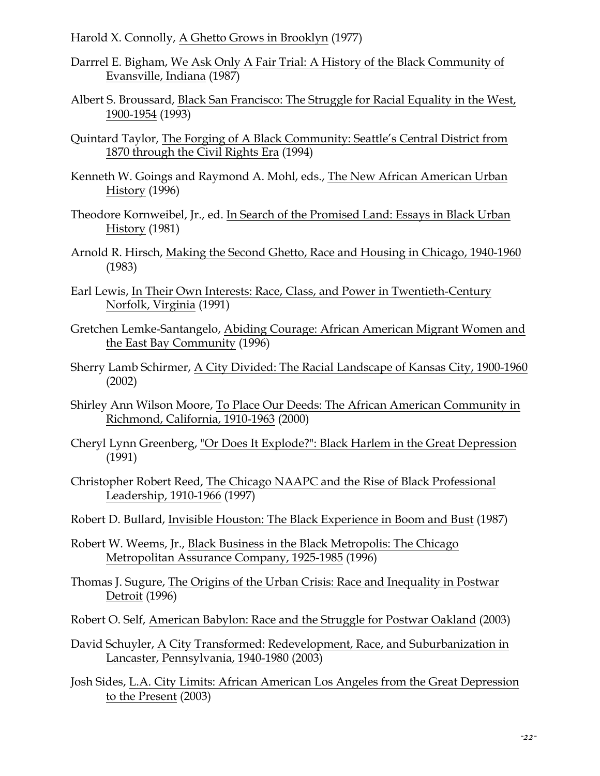Harold X. Connolly, A Ghetto Grows in Brooklyn (1977)

- Darrrel E. Bigham, We Ask Only A Fair Trial: A History of the Black Community of Evansville, Indiana (1987)
- Albert S. Broussard, Black San Francisco: The Struggle for Racial Equality in the West, 1900-1954 (1993)
- Quintard Taylor, The Forging of A Black Community: Seattle's Central District from 1870 through the Civil Rights Era (1994)
- Kenneth W. Goings and Raymond A. Mohl, eds., The New African American Urban History (1996)
- Theodore Kornweibel, Jr., ed. In Search of the Promised Land: Essays in Black Urban History (1981)
- Arnold R. Hirsch, Making the Second Ghetto, Race and Housing in Chicago, 1940-1960 (1983)
- Earl Lewis, In Their Own Interests: Race, Class, and Power in Twentieth-Century Norfolk, Virginia (1991)
- Gretchen Lemke-Santangelo, Abiding Courage: African American Migrant Women and the East Bay Community (1996)
- Sherry Lamb Schirmer, A City Divided: The Racial Landscape of Kansas City, 1900-1960 (2002)
- Shirley Ann Wilson Moore, To Place Our Deeds: The African American Community in Richmond, California, 1910-1963 (2000)
- Cheryl Lynn Greenberg, "Or Does It Explode?": Black Harlem in the Great Depression (1991)
- Christopher Robert Reed, The Chicago NAAPC and the Rise of Black Professional Leadership, 1910-1966 (1997)
- Robert D. Bullard, Invisible Houston: The Black Experience in Boom and Bust (1987)
- Robert W. Weems, Jr., Black Business in the Black Metropolis: The Chicago Metropolitan Assurance Company, 1925-1985 (1996)
- Thomas J. Sugure, The Origins of the Urban Crisis: Race and Inequality in Postwar Detroit (1996)
- Robert O. Self, American Babylon: Race and the Struggle for Postwar Oakland (2003)
- David Schuyler, A City Transformed: Redevelopment, Race, and Suburbanization in Lancaster, Pennsylvania, 1940-1980 (2003)
- Josh Sides, L.A. City Limits: African American Los Angeles from the Great Depression to the Present (2003)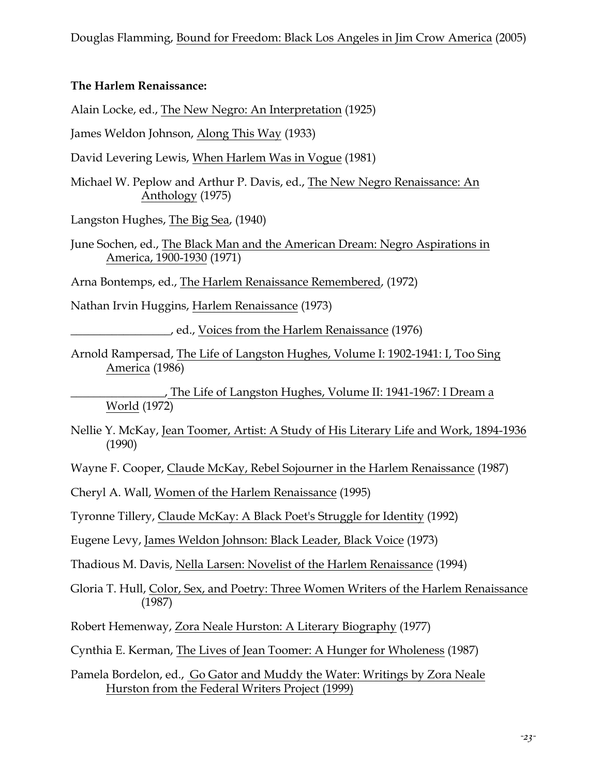#### **The Harlem Renaissance:**

Alain Locke, ed., The New Negro: An Interpretation (1925)

James Weldon Johnson, Along This Way (1933)

David Levering Lewis, When Harlem Was in Vogue (1981)

Michael W. Peplow and Arthur P. Davis, ed., The New Negro Renaissance: An Anthology (1975)

Langston Hughes, The Big Sea, (1940)

June Sochen, ed., The Black Man and the American Dream: Negro Aspirations in America, 1900-1930 (1971)

Arna Bontemps, ed., The Harlem Renaissance Remembered, (1972)

Nathan Irvin Huggins, Harlem Renaissance (1973)

\_\_\_\_\_\_\_\_\_\_\_\_\_\_\_\_\_, ed., Voices from the Harlem Renaissance (1976)

Arnold Rampersad, The Life of Langston Hughes, Volume I: 1902-1941: I, Too Sing America (1986)

\_\_\_\_\_\_\_\_\_\_\_\_\_\_\_\_, The Life of Langston Hughes, Volume II: 1941-1967: I Dream a World (1972)

Nellie Y. McKay, Jean Toomer, Artist: A Study of His Literary Life and Work, 1894-1936 (1990)

Wayne F. Cooper, Claude McKay, Rebel Sojourner in the Harlem Renaissance (1987)

Cheryl A. Wall, Women of the Harlem Renaissance (1995)

Tyronne Tillery, Claude McKay: A Black Poet's Struggle for Identity (1992)

Eugene Levy, James Weldon Johnson: Black Leader, Black Voice (1973)

Thadious M. Davis, Nella Larsen: Novelist of the Harlem Renaissance (1994)

Gloria T. Hull, Color, Sex, and Poetry: Three Women Writers of the Harlem Renaissance (1987)

- Robert Hemenway, Zora Neale Hurston: A Literary Biography (1977)
- Cynthia E. Kerman, The Lives of Jean Toomer: A Hunger for Wholeness (1987)

Pamela Bordelon, ed., Go Gator and Muddy the Water: Writings by Zora Neale Hurston from the Federal Writers Project (1999)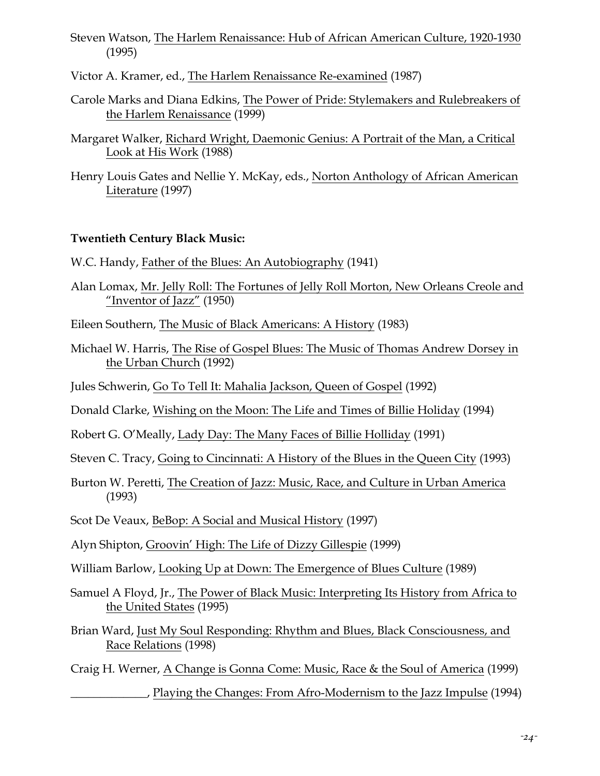Steven Watson, The Harlem Renaissance: Hub of African American Culture, 1920-1930 (1995)

Victor A. Kramer, ed., The Harlem Renaissance Re-examined (1987)

- Carole Marks and Diana Edkins, The Power of Pride: Stylemakers and Rulebreakers of the Harlem Renaissance (1999)
- Margaret Walker, Richard Wright, Daemonic Genius: A Portrait of the Man, a Critical Look at His Work (1988)
- Henry Louis Gates and Nellie Y. McKay, eds., Norton Anthology of African American Literature (1997)

## **Twentieth Century Black Music:**

- W.C. Handy, Father of the Blues: An Autobiography (1941)
- Alan Lomax, Mr. Jelly Roll: The Fortunes of Jelly Roll Morton, New Orleans Creole and "Inventor of Jazz" (1950)
- Eileen Southern, The Music of Black Americans: A History (1983)
- Michael W. Harris, The Rise of Gospel Blues: The Music of Thomas Andrew Dorsey in the Urban Church (1992)

Jules Schwerin, Go To Tell It: Mahalia Jackson, Queen of Gospel (1992)

- Donald Clarke, Wishing on the Moon: The Life and Times of Billie Holiday (1994)
- Robert G. O'Meally, Lady Day: The Many Faces of Billie Holliday (1991)

Steven C. Tracy, Going to Cincinnati: A History of the Blues in the Queen City (1993)

Burton W. Peretti, The Creation of Jazz: Music, Race, and Culture in Urban America (1993)

Scot De Veaux, BeBop: A Social and Musical History (1997)

Alyn Shipton, Groovin' High: The Life of Dizzy Gillespie (1999)

William Barlow, Looking Up at Down: The Emergence of Blues Culture (1989)

- Samuel A Floyd, Jr., The Power of Black Music: Interpreting Its History from Africa to the United States (1995)
- Brian Ward, Just My Soul Responding: Rhythm and Blues, Black Consciousness, and Race Relations (1998)

Craig H. Werner, A Change is Gonna Come: Music, Race & the Soul of America (1999)

\_\_\_\_\_\_\_\_\_\_\_\_\_, Playing the Changes: From Afro-Modernism to the Jazz Impulse (1994)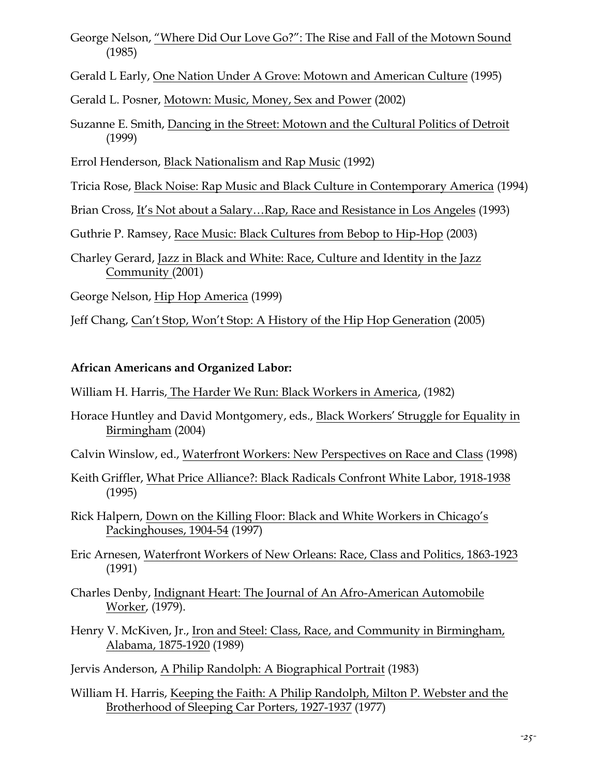George Nelson, "Where Did Our Love Go?": The Rise and Fall of the Motown Sound (1985)

Gerald L Early, One Nation Under A Grove: Motown and American Culture (1995)

Gerald L. Posner, Motown: Music, Money, Sex and Power (2002)

Suzanne E. Smith, Dancing in the Street: Motown and the Cultural Politics of Detroit (1999)

Errol Henderson, Black Nationalism and Rap Music (1992)

- Tricia Rose, Black Noise: Rap Music and Black Culture in Contemporary America (1994)
- Brian Cross, It's Not about a Salary…Rap, Race and Resistance in Los Angeles (1993)

Guthrie P. Ramsey, Race Music: Black Cultures from Bebop to Hip-Hop (2003)

Charley Gerard, Jazz in Black and White: Race, Culture and Identity in the Jazz Community (2001)

George Nelson, Hip Hop America (1999)

Jeff Chang, Can't Stop, Won't Stop: A History of the Hip Hop Generation (2005)

## **African Americans and Organized Labor:**

William H. Harris, The Harder We Run: Black Workers in America, (1982)

- Horace Huntley and David Montgomery, eds., Black Workers' Struggle for Equality in Birmingham (2004)
- Calvin Winslow, ed., Waterfront Workers: New Perspectives on Race and Class (1998)
- Keith Griffler, What Price Alliance?: Black Radicals Confront White Labor, 1918-1938 (1995)
- Rick Halpern, Down on the Killing Floor: Black and White Workers in Chicago's Packinghouses, 1904-54 (1997)
- Eric Arnesen, Waterfront Workers of New Orleans: Race, Class and Politics, 1863-1923 (1991)
- Charles Denby, Indignant Heart: The Journal of An Afro-American Automobile Worker, (1979).
- Henry V. McKiven, Jr., Iron and Steel: Class, Race, and Community in Birmingham, Alabama, 1875-1920 (1989)

Jervis Anderson, A Philip Randolph: A Biographical Portrait (1983)

William H. Harris, Keeping the Faith: A Philip Randolph, Milton P. Webster and the Brotherhood of Sleeping Car Porters, 1927-1937 (1977)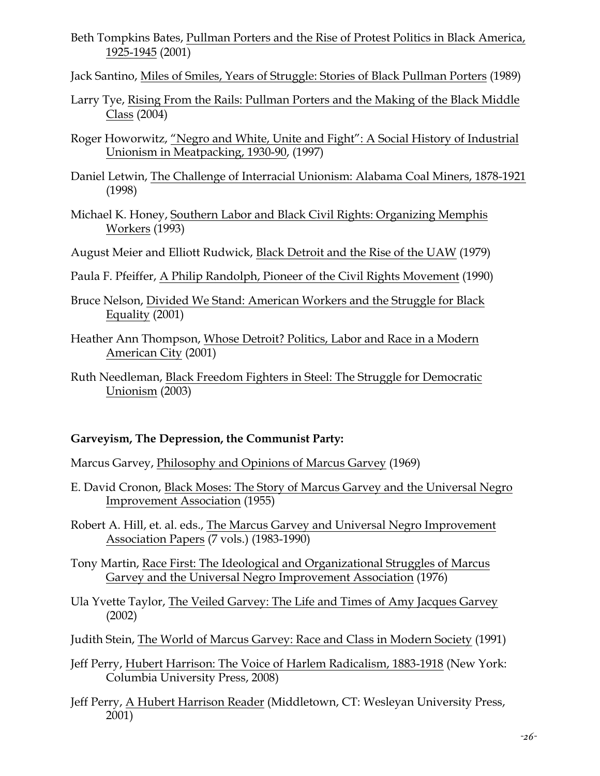- Beth Tompkins Bates, Pullman Porters and the Rise of Protest Politics in Black America, 1925-1945 (2001)
- Jack Santino, Miles of Smiles, Years of Struggle: Stories of Black Pullman Porters (1989)
- Larry Tye, Rising From the Rails: Pullman Porters and the Making of the Black Middle Class (2004)
- Roger Howorwitz, "Negro and White, Unite and Fight": A Social History of Industrial Unionism in Meatpacking, 1930-90, (1997)
- Daniel Letwin, The Challenge of Interracial Unionism: Alabama Coal Miners, 1878-1921 (1998)
- Michael K. Honey, Southern Labor and Black Civil Rights: Organizing Memphis Workers (1993)

August Meier and Elliott Rudwick, Black Detroit and the Rise of the UAW (1979)

- Paula F. Pfeiffer, A Philip Randolph, Pioneer of the Civil Rights Movement (1990)
- Bruce Nelson, Divided We Stand: American Workers and the Struggle for Black Equality (2001)
- Heather Ann Thompson, Whose Detroit? Politics, Labor and Race in a Modern American City (2001)
- Ruth Needleman, Black Freedom Fighters in Steel: The Struggle for Democratic Unionism (2003)

#### **Garveyism, The Depression, the Communist Party:**

Marcus Garvey, Philosophy and Opinions of Marcus Garvey (1969)

E. David Cronon, Black Moses: The Story of Marcus Garvey and the Universal Negro Improvement Association (1955)

Robert A. Hill, et. al. eds., The Marcus Garvey and Universal Negro Improvement Association Papers (7 vols.) (1983-1990)

Tony Martin, Race First: The Ideological and Organizational Struggles of Marcus Garvey and the Universal Negro Improvement Association (1976)

Ula Yvette Taylor, The Veiled Garvey: The Life and Times of Amy Jacques Garvey (2002)

- Judith Stein, The World of Marcus Garvey: Race and Class in Modern Society (1991)
- Jeff Perry, Hubert Harrison: The Voice of Harlem Radicalism, 1883-1918 (New York: Columbia University Press, 2008)
- Jeff Perry, A Hubert Harrison Reader (Middletown, CT: Wesleyan University Press, 2001)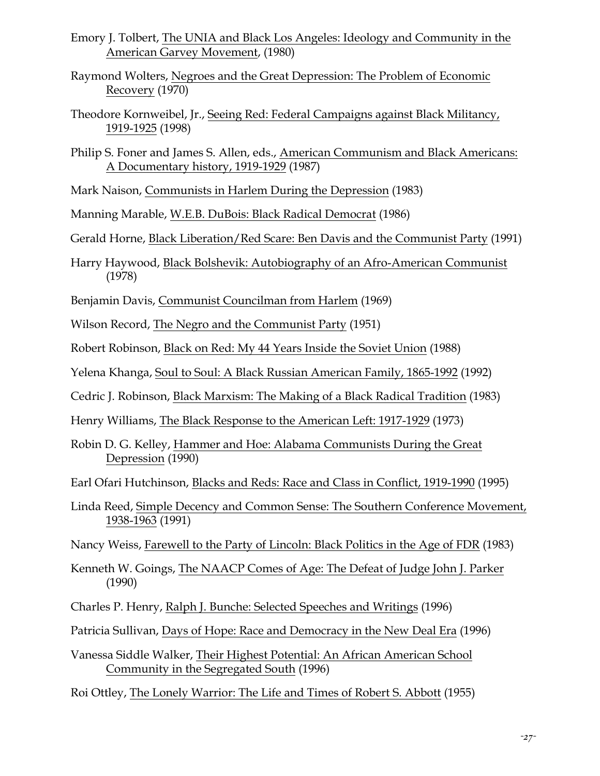- Emory J. Tolbert, The UNIA and Black Los Angeles: Ideology and Community in the American Garvey Movement, (1980)
- Raymond Wolters, Negroes and the Great Depression: The Problem of Economic Recovery (1970)
- Theodore Kornweibel, Jr., Seeing Red: Federal Campaigns against Black Militancy, 1919-1925 (1998)
- Philip S. Foner and James S. Allen, eds., American Communism and Black Americans: A Documentary history, 1919-1929 (1987)
- Mark Naison, Communists in Harlem During the Depression (1983)

Manning Marable, W.E.B. DuBois: Black Radical Democrat (1986)

- Gerald Horne, Black Liberation/Red Scare: Ben Davis and the Communist Party (1991)
- Harry Haywood, Black Bolshevik: Autobiography of an Afro-American Communist (1978)
- Benjamin Davis, Communist Councilman from Harlem (1969)
- Wilson Record, The Negro and the Communist Party (1951)
- Robert Robinson, Black on Red: My 44 Years Inside the Soviet Union (1988)
- Yelena Khanga, Soul to Soul: A Black Russian American Family, 1865-1992 (1992)
- Cedric J. Robinson, Black Marxism: The Making of a Black Radical Tradition (1983)
- Henry Williams, The Black Response to the American Left: 1917-1929 (1973)
- Robin D. G. Kelley, Hammer and Hoe: Alabama Communists During the Great Depression (1990)
- Earl Ofari Hutchinson, Blacks and Reds: Race and Class in Conflict, 1919-1990 (1995)
- Linda Reed, Simple Decency and Common Sense: The Southern Conference Movement, 1938-1963 (1991)
- Nancy Weiss, Farewell to the Party of Lincoln: Black Politics in the Age of FDR (1983)
- Kenneth W. Goings, The NAACP Comes of Age: The Defeat of Judge John J. Parker (1990)
- Charles P. Henry, Ralph J. Bunche: Selected Speeches and Writings (1996)
- Patricia Sullivan, Days of Hope: Race and Democracy in the New Deal Era (1996)
- Vanessa Siddle Walker, Their Highest Potential: An African American School Community in the Segregated South (1996)
- Roi Ottley, The Lonely Warrior: The Life and Times of Robert S. Abbott (1955)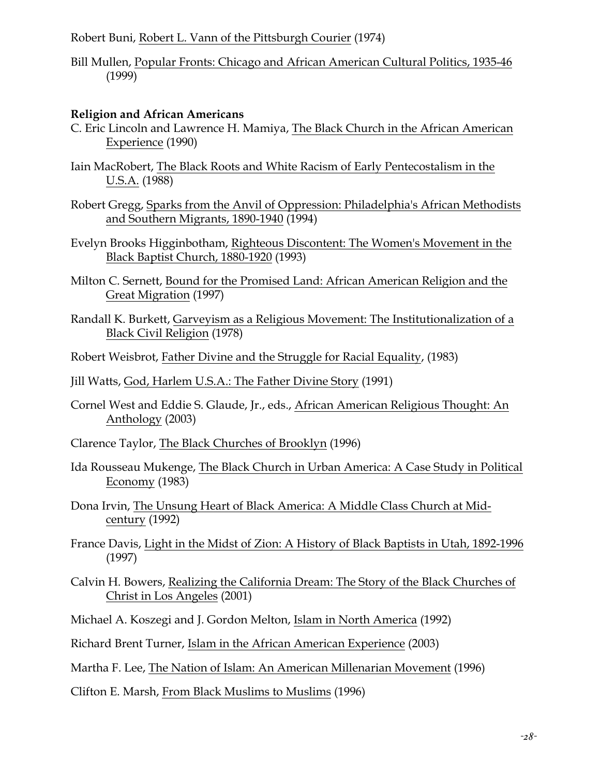Robert Buni, Robert L. Vann of the Pittsburgh Courier (1974)

Bill Mullen, Popular Fronts: Chicago and African American Cultural Politics, 1935-46 (1999)

#### **Religion and African Americans**

- C. Eric Lincoln and Lawrence H. Mamiya, The Black Church in the African American Experience (1990)
- Iain MacRobert, The Black Roots and White Racism of Early Pentecostalism in the U.S.A. (1988)
- Robert Gregg, Sparks from the Anvil of Oppression: Philadelphia's African Methodists and Southern Migrants, 1890-1940 (1994)
- Evelyn Brooks Higginbotham, Righteous Discontent: The Women's Movement in the Black Baptist Church, 1880-1920 (1993)
- Milton C. Sernett, Bound for the Promised Land: African American Religion and the Great Migration (1997)
- Randall K. Burkett, Garveyism as a Religious Movement: The Institutionalization of a Black Civil Religion (1978)
- Robert Weisbrot, Father Divine and the Struggle for Racial Equality, (1983)
- Jill Watts, God, Harlem U.S.A.: The Father Divine Story (1991)
- Cornel West and Eddie S. Glaude, Jr., eds., African American Religious Thought: An Anthology (2003)
- Clarence Taylor, The Black Churches of Brooklyn (1996)
- Ida Rousseau Mukenge, The Black Church in Urban America: A Case Study in Political Economy (1983)
- Dona Irvin, The Unsung Heart of Black America: A Middle Class Church at Midcentury (1992)
- France Davis, Light in the Midst of Zion: A History of Black Baptists in Utah, 1892-1996 (1997)
- Calvin H. Bowers, Realizing the California Dream: The Story of the Black Churches of Christ in Los Angeles (2001)
- Michael A. Koszegi and J. Gordon Melton, Islam in North America (1992)
- Richard Brent Turner, Islam in the African American Experience (2003)
- Martha F. Lee, The Nation of Islam: An American Millenarian Movement (1996)
- Clifton E. Marsh, From Black Muslims to Muslims (1996)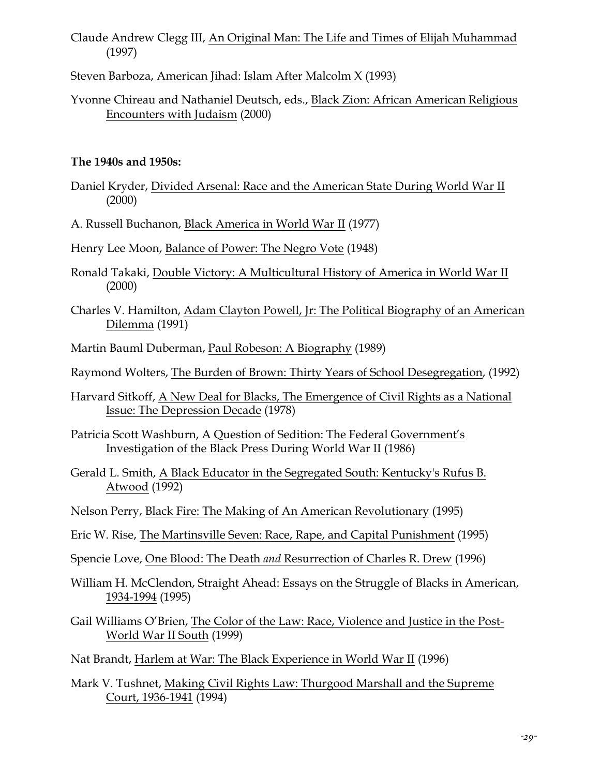- Claude Andrew Clegg III, An Original Man: The Life and Times of Elijah Muhammad (1997)
- Steven Barboza, American Jihad: Islam After Malcolm X (1993)
- Yvonne Chireau and Nathaniel Deutsch, eds., Black Zion: African American Religious Encounters with Judaism (2000)

#### **The 1940s and 1950s:**

- Daniel Kryder, Divided Arsenal: Race and the American State During World War II (2000)
- A. Russell Buchanon, Black America in World War II (1977)
- Henry Lee Moon, Balance of Power: The Negro Vote (1948)
- Ronald Takaki, Double Victory: A Multicultural History of America in World War II (2000)
- Charles V. Hamilton, Adam Clayton Powell, Jr: The Political Biography of an American Dilemma (1991)
- Martin Bauml Duberman, Paul Robeson: A Biography (1989)
- Raymond Wolters, The Burden of Brown: Thirty Years of School Desegregation, (1992)
- Harvard Sitkoff, A New Deal for Blacks, The Emergence of Civil Rights as a National Issue: The Depression Decade (1978)
- Patricia Scott Washburn, A Question of Sedition: The Federal Government's Investigation of the Black Press During World War II (1986)
- Gerald L. Smith, A Black Educator in the Segregated South: Kentucky's Rufus B. Atwood (1992)
- Nelson Perry, Black Fire: The Making of An American Revolutionary (1995)
- Eric W. Rise, The Martinsville Seven: Race, Rape, and Capital Punishment (1995)
- Spencie Love, One Blood: The Death *and* Resurrection of Charles R. Drew (1996)
- William H. McClendon, Straight Ahead: Essays on the Struggle of Blacks in American, 1934-1994 (1995)
- Gail Williams O'Brien, The Color of the Law: Race, Violence and Justice in the Post-World War II South (1999)
- Nat Brandt, Harlem at War: The Black Experience in World War II (1996)
- Mark V. Tushnet, Making Civil Rights Law: Thurgood Marshall and the Supreme Court, 1936-1941 (1994)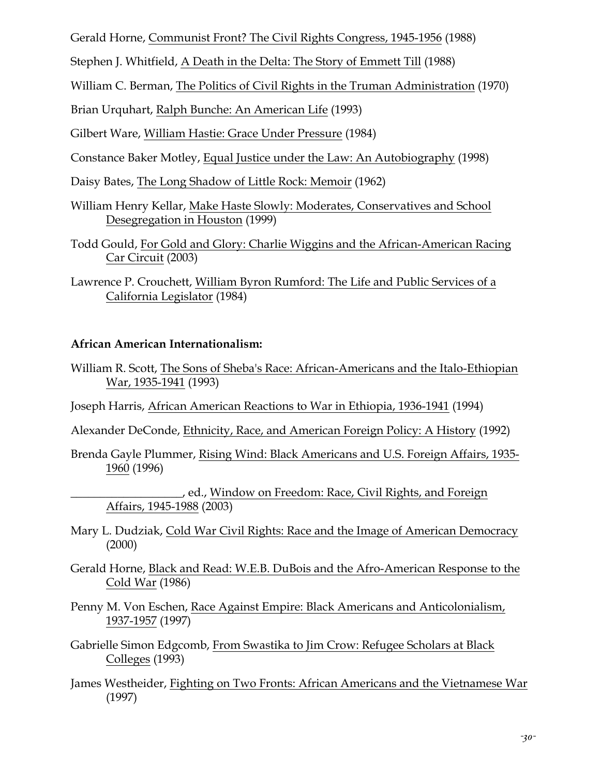Gerald Horne, Communist Front? The Civil Rights Congress, 1945-1956 (1988)

Stephen J. Whitfield, A Death in the Delta: The Story of Emmett Till (1988)

William C. Berman, The Politics of Civil Rights in the Truman Administration (1970)

Brian Urquhart, Ralph Bunche: An American Life (1993)

Gilbert Ware, William Hastie: Grace Under Pressure (1984)

- Constance Baker Motley, Equal Justice under the Law: An Autobiography (1998)
- Daisy Bates, The Long Shadow of Little Rock: Memoir (1962)
- William Henry Kellar, Make Haste Slowly: Moderates, Conservatives and School Desegregation in Houston (1999)
- Todd Gould, For Gold and Glory: Charlie Wiggins and the African-American Racing Car Circuit (2003)
- Lawrence P. Crouchett, William Byron Rumford: The Life and Public Services of a California Legislator (1984)

# **African American Internationalism:**

William R. Scott, The Sons of Sheba's Race: African-Americans and the Italo-Ethiopian War, 1935-1941 (1993)

Joseph Harris, African American Reactions to War in Ethiopia, 1936-1941 (1994)

Alexander DeConde, Ethnicity, Race, and American Foreign Policy: A History (1992)

Brenda Gayle Plummer, Rising Wind: Black Americans and U.S. Foreign Affairs, 1935- 1960 (1996)

\_\_\_\_\_\_\_\_\_\_\_\_\_\_\_\_\_\_\_, ed., Window on Freedom: Race, Civil Rights, and Foreign Affairs, 1945-1988 (2003)

- Mary L. Dudziak, Cold War Civil Rights: Race and the Image of American Democracy (2000)
- Gerald Horne, Black and Read: W.E.B. DuBois and the Afro-American Response to the Cold War (1986)
- Penny M. Von Eschen, Race Against Empire: Black Americans and Anticolonialism, 1937-1957 (1997)
- Gabrielle Simon Edgcomb, From Swastika to Jim Crow: Refugee Scholars at Black Colleges (1993)
- James Westheider, Fighting on Two Fronts: African Americans and the Vietnamese War (1997)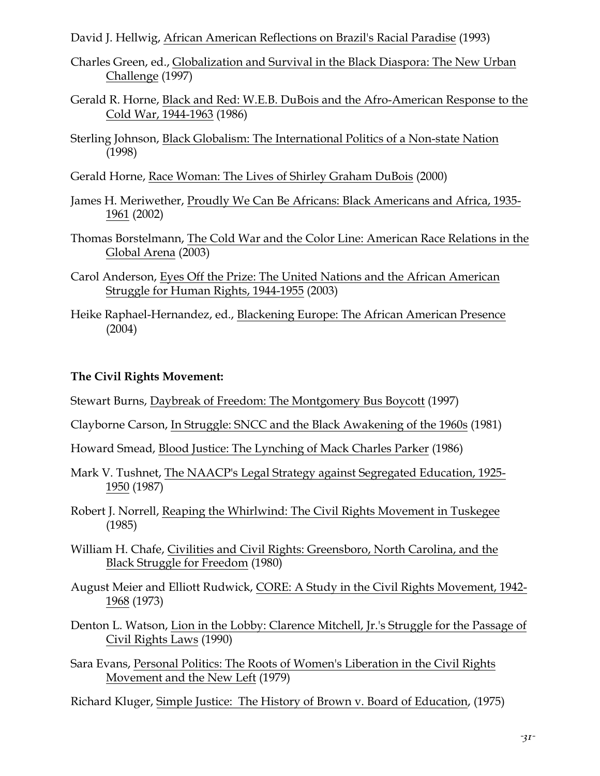David J. Hellwig, African American Reflections on Brazil's Racial Paradise (1993)

- Charles Green, ed., Globalization and Survival in the Black Diaspora: The New Urban Challenge (1997)
- Gerald R. Horne, Black and Red: W.E.B. DuBois and the Afro-American Response to the Cold War, 1944-1963 (1986)
- Sterling Johnson, Black Globalism: The International Politics of a Non-state Nation (1998)
- Gerald Horne, Race Woman: The Lives of Shirley Graham DuBois (2000)
- James H. Meriwether, Proudly We Can Be Africans: Black Americans and Africa, 1935- 1961 (2002)
- Thomas Borstelmann, The Cold War and the Color Line: American Race Relations in the Global Arena (2003)
- Carol Anderson, Eyes Off the Prize: The United Nations and the African American Struggle for Human Rights, 1944-1955 (2003)
- Heike Raphael-Hernandez, ed., Blackening Europe: The African American Presence (2004)

#### **The Civil Rights Movement:**

- Stewart Burns, Daybreak of Freedom: The Montgomery Bus Boycott (1997)
- Clayborne Carson, In Struggle: SNCC and the Black Awakening of the 1960s (1981)
- Howard Smead, Blood Justice: The Lynching of Mack Charles Parker (1986)
- Mark V. Tushnet, The NAACP's Legal Strategy against Segregated Education, 1925- 1950 (1987)
- Robert J. Norrell, Reaping the Whirlwind: The Civil Rights Movement in Tuskegee (1985)
- William H. Chafe, Civilities and Civil Rights: Greensboro, North Carolina, and the Black Struggle for Freedom (1980)
- August Meier and Elliott Rudwick, CORE: A Study in the Civil Rights Movement, 1942- 1968 (1973)
- Denton L. Watson, Lion in the Lobby: Clarence Mitchell, Jr.'s Struggle for the Passage of Civil Rights Laws (1990)
- Sara Evans, Personal Politics: The Roots of Women's Liberation in the Civil Rights Movement and the New Left (1979)

Richard Kluger, Simple Justice: The History of Brown v. Board of Education, (1975)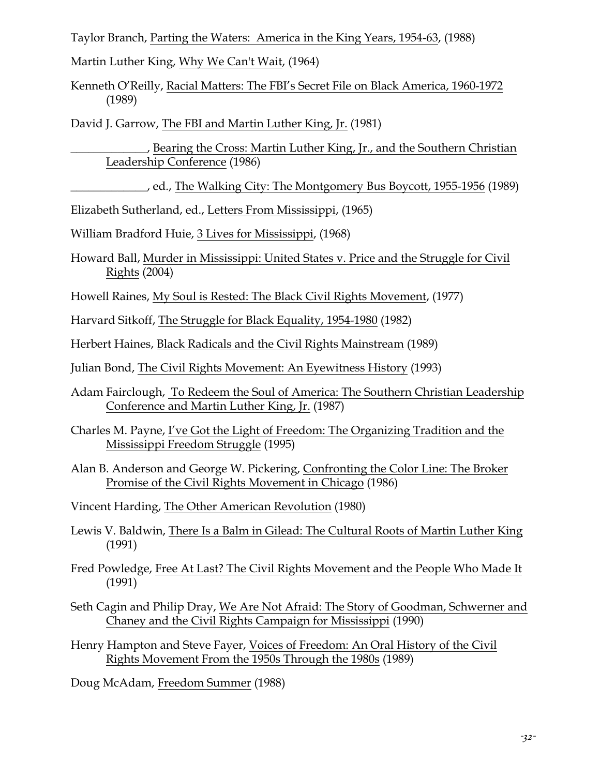Taylor Branch, Parting the Waters: America in the King Years, 1954-63, (1988)

Martin Luther King, Why We Can't Wait, (1964)

Kenneth O'Reilly, Racial Matters: The FBI's Secret File on Black America, 1960-1972 (1989)

David J. Garrow, The FBI and Martin Luther King, Jr. (1981)

Bearing the Cross: Martin Luther King, Jr., and the Southern Christian Leadership Conference (1986)

\_\_\_\_\_\_\_\_\_\_\_\_\_, ed., The Walking City: The Montgomery Bus Boycott, 1955-1956 (1989)

Elizabeth Sutherland, ed., Letters From Mississippi, (1965)

William Bradford Huie, 3 Lives for Mississippi, (1968)

Howard Ball, Murder in Mississippi: United States v. Price and the Struggle for Civil Rights (2004)

Howell Raines, My Soul is Rested: The Black Civil Rights Movement, (1977)

Harvard Sitkoff, The Struggle for Black Equality, 1954-1980 (1982)

Herbert Haines, Black Radicals and the Civil Rights Mainstream (1989)

Julian Bond, The Civil Rights Movement: An Eyewitness History (1993)

- Adam Fairclough, To Redeem the Soul of America: The Southern Christian Leadership Conference and Martin Luther King, Jr. (1987)
- Charles M. Payne, I've Got the Light of Freedom: The Organizing Tradition and the Mississippi Freedom Struggle (1995)
- Alan B. Anderson and George W. Pickering, Confronting the Color Line: The Broker Promise of the Civil Rights Movement in Chicago (1986)

Vincent Harding, The Other American Revolution (1980)

Lewis V. Baldwin, There Is a Balm in Gilead: The Cultural Roots of Martin Luther King (1991)

Fred Powledge, Free At Last? The Civil Rights Movement and the People Who Made It (1991)

Seth Cagin and Philip Dray, We Are Not Afraid: The Story of Goodman, Schwerner and Chaney and the Civil Rights Campaign for Mississippi (1990)

Henry Hampton and Steve Fayer, Voices of Freedom: An Oral History of the Civil Rights Movement From the 1950s Through the 1980s (1989)

Doug McAdam, Freedom Summer (1988)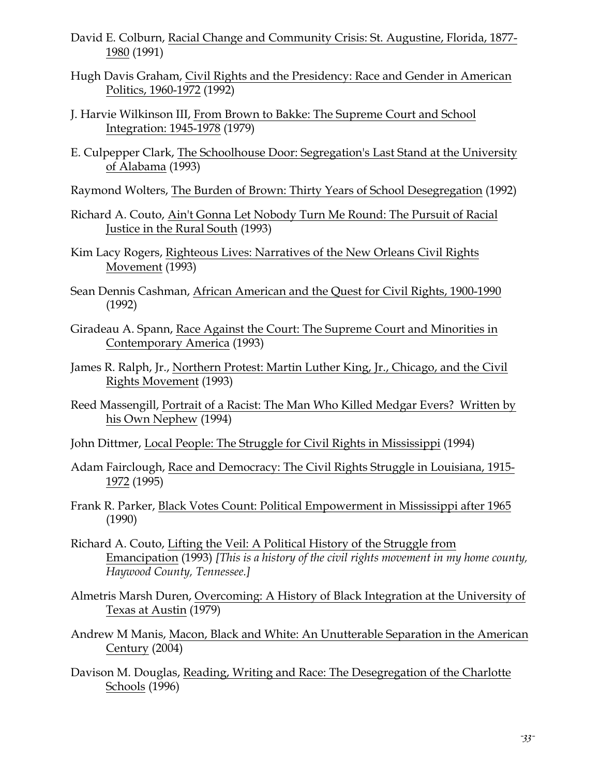- David E. Colburn, Racial Change and Community Crisis: St. Augustine, Florida, 1877- 1980 (1991)
- Hugh Davis Graham, Civil Rights and the Presidency: Race and Gender in American Politics, 1960-1972 (1992)
- J. Harvie Wilkinson III, From Brown to Bakke: The Supreme Court and School Integration: 1945-1978 (1979)
- E. Culpepper Clark, The Schoolhouse Door: Segregation's Last Stand at the University of Alabama (1993)

Raymond Wolters, The Burden of Brown: Thirty Years of School Desegregation (1992)

- Richard A. Couto, Ain't Gonna Let Nobody Turn Me Round: The Pursuit of Racial Justice in the Rural South (1993)
- Kim Lacy Rogers, Righteous Lives: Narratives of the New Orleans Civil Rights Movement (1993)
- Sean Dennis Cashman, African American and the Quest for Civil Rights, 1900-1990 (1992)
- Giradeau A. Spann, Race Against the Court: The Supreme Court and Minorities in Contemporary America (1993)
- James R. Ralph, Jr., Northern Protest: Martin Luther King, Jr., Chicago, and the Civil Rights Movement (1993)
- Reed Massengill, Portrait of a Racist: The Man Who Killed Medgar Evers? Written by his Own Nephew (1994)
- John Dittmer, Local People: The Struggle for Civil Rights in Mississippi (1994)
- Adam Fairclough, Race and Democracy: The Civil Rights Struggle in Louisiana, 1915- 1972 (1995)
- Frank R. Parker, Black Votes Count: Political Empowerment in Mississippi after 1965 (1990)
- Richard A. Couto, Lifting the Veil: A Political History of the Struggle from Emancipation (1993) *[This is a history of the civil rights movement in my home county, Haywood County, Tennessee.]*
- Almetris Marsh Duren, Overcoming: A History of Black Integration at the University of Texas at Austin (1979)
- Andrew M Manis, Macon, Black and White: An Unutterable Separation in the American Century (2004)
- Davison M. Douglas, Reading, Writing and Race: The Desegregation of the Charlotte Schools (1996)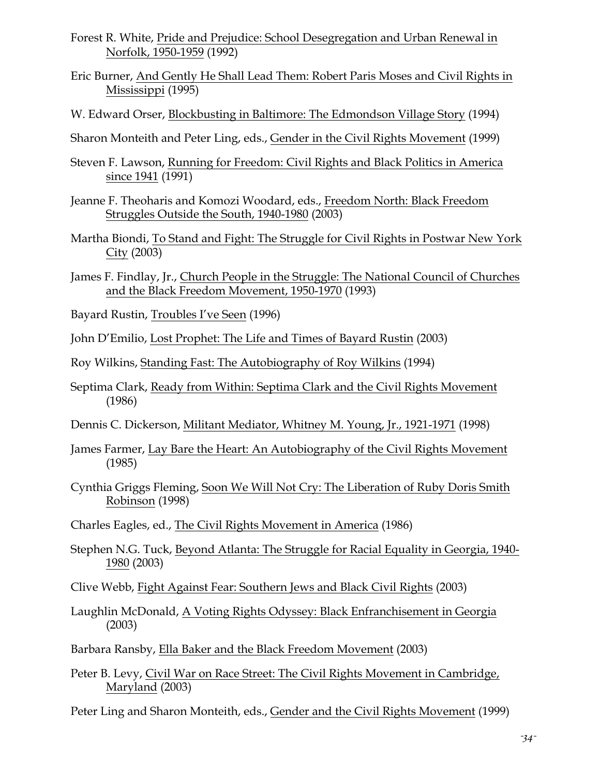- Forest R. White, Pride and Prejudice: School Desegregation and Urban Renewal in Norfolk, 1950-1959 (1992)
- Eric Burner, And Gently He Shall Lead Them: Robert Paris Moses and Civil Rights in Mississippi (1995)
- W. Edward Orser, Blockbusting in Baltimore: The Edmondson Village Story (1994)

Sharon Monteith and Peter Ling, eds., Gender in the Civil Rights Movement (1999)

- Steven F. Lawson, Running for Freedom: Civil Rights and Black Politics in America since 1941 (1991)
- Jeanne F. Theoharis and Komozi Woodard, eds., Freedom North: Black Freedom Struggles Outside the South, 1940-1980 (2003)
- Martha Biondi, To Stand and Fight: The Struggle for Civil Rights in Postwar New York  $City (2003)$
- James F. Findlay, Jr., Church People in the Struggle: The National Council of Churches and the Black Freedom Movement, 1950-1970 (1993)

Bayard Rustin, Troubles I've Seen (1996)

John D'Emilio, Lost Prophet: The Life and Times of Bayard Rustin (2003)

Roy Wilkins, Standing Fast: The Autobiography of Roy Wilkins (1994)

Septima Clark, Ready from Within: Septima Clark and the Civil Rights Movement (1986)

Dennis C. Dickerson, Militant Mediator, Whitney M. Young, Jr., 1921-1971 (1998)

James Farmer, Lay Bare the Heart: An Autobiography of the Civil Rights Movement (1985)

Cynthia Griggs Fleming, Soon We Will Not Cry: The Liberation of Ruby Doris Smith Robinson (1998)

- Charles Eagles, ed., The Civil Rights Movement in America (1986)
- Stephen N.G. Tuck, Beyond Atlanta: The Struggle for Racial Equality in Georgia, 1940- 1980 (2003)

Clive Webb, Fight Against Fear: Southern Jews and Black Civil Rights (2003)

Laughlin McDonald, A Voting Rights Odyssey: Black Enfranchisement in Georgia (2003)

Barbara Ransby, Ella Baker and the Black Freedom Movement (2003)

Peter B. Levy, Civil War on Race Street: The Civil Rights Movement in Cambridge, Maryland (2003)

Peter Ling and Sharon Monteith, eds., Gender and the Civil Rights Movement (1999)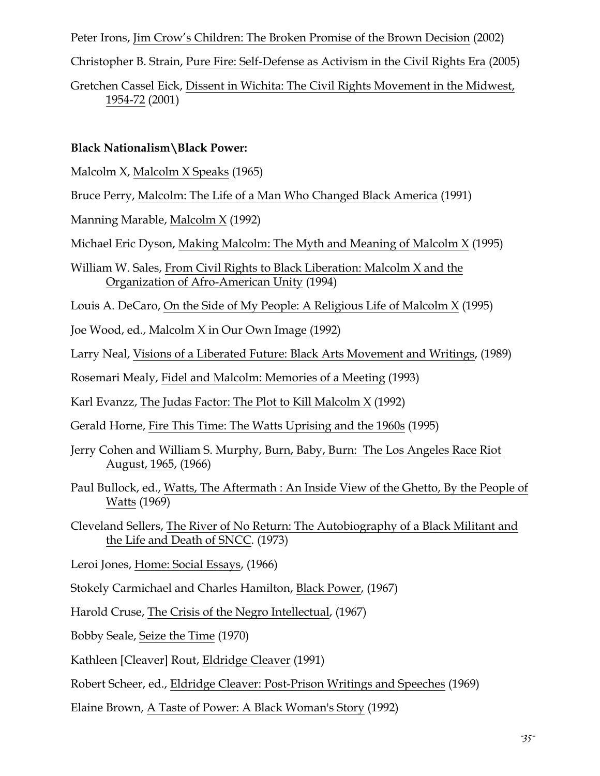Peter Irons, Jim Crow's Children: The Broken Promise of the Brown Decision (2002)

Christopher B. Strain, Pure Fire: Self-Defense as Activism in the Civil Rights Era (2005)

Gretchen Cassel Eick, Dissent in Wichita: The Civil Rights Movement in the Midwest, 1954-72 (2001)

# **Black Nationalism\Black Power:**

Malcolm X, Malcolm X Speaks (1965)

Bruce Perry, Malcolm: The Life of a Man Who Changed Black America (1991)

Manning Marable, Malcolm X (1992)

Michael Eric Dyson, Making Malcolm: The Myth and Meaning of Malcolm X (1995)

William W. Sales, From Civil Rights to Black Liberation: Malcolm X and the Organization of Afro-American Unity (1994)

Louis A. DeCaro, On the Side of My People: A Religious Life of Malcolm X (1995)

Joe Wood, ed., Malcolm X in Our Own Image (1992)

Larry Neal, Visions of a Liberated Future: Black Arts Movement and Writings, (1989)

Rosemari Mealy, Fidel and Malcolm: Memories of a Meeting (1993)

Karl Evanzz, The Judas Factor: The Plot to Kill Malcolm X (1992)

Gerald Horne, Fire This Time: The Watts Uprising and the 1960s (1995)

Jerry Cohen and William S. Murphy, Burn, Baby, Burn: The Los Angeles Race Riot August, 1965, (1966)

Paul Bullock, ed., Watts, The Aftermath : An Inside View of the Ghetto, By the People of Watts (1969)

Cleveland Sellers, The River of No Return: The Autobiography of a Black Militant and the Life and Death of SNCC. (1973)

Leroi Jones, Home: Social Essays, (1966)

Stokely Carmichael and Charles Hamilton, Black Power, (1967)

Harold Cruse, The Crisis of the Negro Intellectual, (1967)

Bobby Seale, Seize the Time (1970)

Kathleen [Cleaver] Rout, Eldridge Cleaver (1991)

Robert Scheer, ed., Eldridge Cleaver: Post-Prison Writings and Speeches (1969)

Elaine Brown, A Taste of Power: A Black Woman's Story (1992)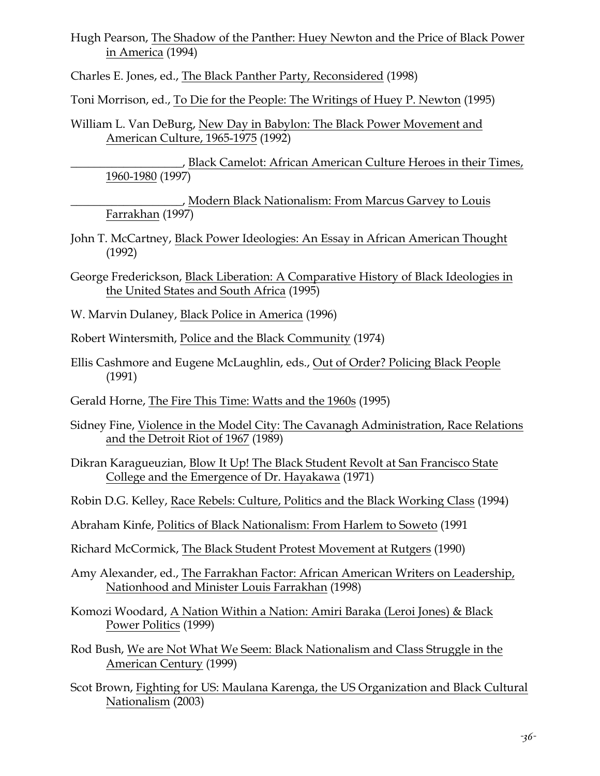Hugh Pearson, The Shadow of the Panther: Huey Newton and the Price of Black Power in America (1994)

Charles E. Jones, ed., The Black Panther Party, Reconsidered (1998)

Toni Morrison, ed., To Die for the People: The Writings of Huey P. Newton (1995)

William L. Van DeBurg, New Day in Babylon: The Black Power Movement and American Culture, 1965-1975 (1992)

\_\_\_\_\_\_\_\_\_\_\_\_\_\_\_\_\_\_\_, Black Camelot: African American Culture Heroes in their Times, 1960-1980 (1997)

\_\_\_\_\_\_\_\_\_\_\_\_\_\_\_\_\_\_\_, Modern Black Nationalism: From Marcus Garvey to Louis Farrakhan (1997)

- John T. McCartney, Black Power Ideologies: An Essay in African American Thought (1992)
- George Frederickson, Black Liberation: A Comparative History of Black Ideologies in the United States and South Africa (1995)
- W. Marvin Dulaney, Black Police in America (1996)

Robert Wintersmith, Police and the Black Community (1974)

- Ellis Cashmore and Eugene McLaughlin, eds., Out of Order? Policing Black People (1991)
- Gerald Horne, The Fire This Time: Watts and the 1960s (1995)
- Sidney Fine, Violence in the Model City: The Cavanagh Administration, Race Relations and the Detroit Riot of 1967 (1989)
- Dikran Karagueuzian, Blow It Up! The Black Student Revolt at San Francisco State College and the Emergence of Dr. Hayakawa (1971)
- Robin D.G. Kelley, Race Rebels: Culture, Politics and the Black Working Class (1994)
- Abraham Kinfe, Politics of Black Nationalism: From Harlem to Soweto (1991
- Richard McCormick, The Black Student Protest Movement at Rutgers (1990)
- Amy Alexander, ed., The Farrakhan Factor: African American Writers on Leadership, Nationhood and Minister Louis Farrakhan (1998)
- Komozi Woodard, A Nation Within a Nation: Amiri Baraka (Leroi Jones) & Black Power Politics (1999)
- Rod Bush, We are Not What We Seem: Black Nationalism and Class Struggle in the American Century (1999)
- Scot Brown, Fighting for US: Maulana Karenga, the US Organization and Black Cultural Nationalism (2003)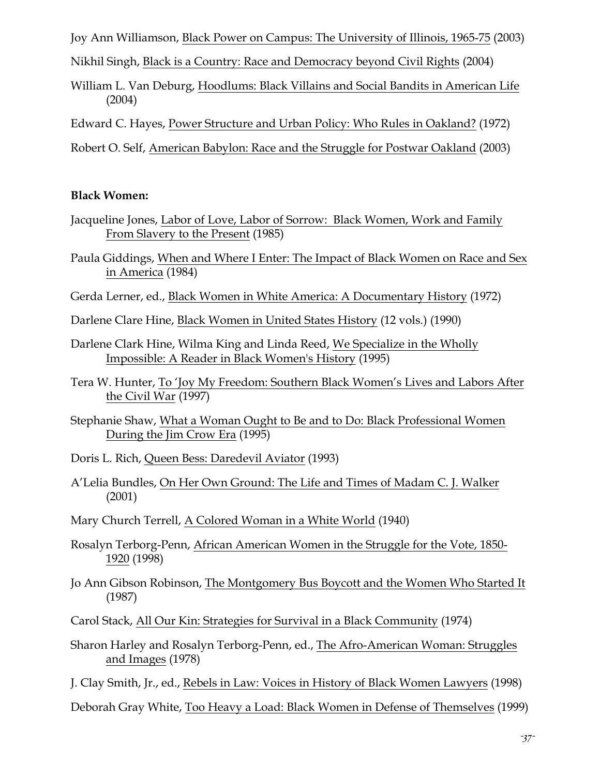Joy Ann Williamson, Black Power on Campus: The University of Illinois, 1965-75 (2003)

Nikhil Singh, Black is a Country: Race and Democracy beyond Civil Rights (2004)

William L. Van Deburg, Hoodlums: Black Villains and Social Bandits in American Life (2004)

Edward C. Hayes, Power Structure and Urban Policy: Who Rules in Oakland? (1972)

Robert O. Self, American Babylon: Race and the Struggle for Postwar Oakland (2003)

## **Black Women:**

- Jacqueline Jones, Labor of Love, Labor of Sorrow: Black Women, Work and Family From Slavery to the Present (1985)
- Paula Giddings, When and Where I Enter: The Impact of Black Women on Race and Sex in America (1984)
- Gerda Lerner, ed., Black Women in White America: A Documentary History (1972)

Darlene Clare Hine, Black Women in United States History (12 vols.) (1990)

- Darlene Clark Hine, Wilma King and Linda Reed, We Specialize in the Wholly Impossible: A Reader in Black Women's History (1995)
- Tera W. Hunter, To 'Joy My Freedom: Southern Black Women's Lives and Labors After the Civil War (1997)
- Stephanie Shaw, What a Woman Ought to Be and to Do: Black Professional Women During the Jim Crow Era (1995)

Doris L. Rich, Queen Bess: Daredevil Aviator (1993)

- A'Lelia Bundles, On Her Own Ground: The Life and Times of Madam C. J. Walker (2001)
- Mary Church Terrell, A Colored Woman in a White World (1940)
- Rosalyn Terborg-Penn, African American Women in the Struggle for the Vote, 1850- 1920 (1998)
- Jo Ann Gibson Robinson, The Montgomery Bus Boycott and the Women Who Started It (1987)
- Carol Stack, All Our Kin: Strategies for Survival in a Black Community (1974)
- Sharon Harley and Rosalyn Terborg-Penn, ed., The Afro-American Woman: Struggles and Images (1978)
- J. Clay Smith, Jr., ed., Rebels in Law: Voices in History of Black Women Lawyers (1998)

Deborah Gray White, Too Heavy a Load: Black Women in Defense of Themselves (1999)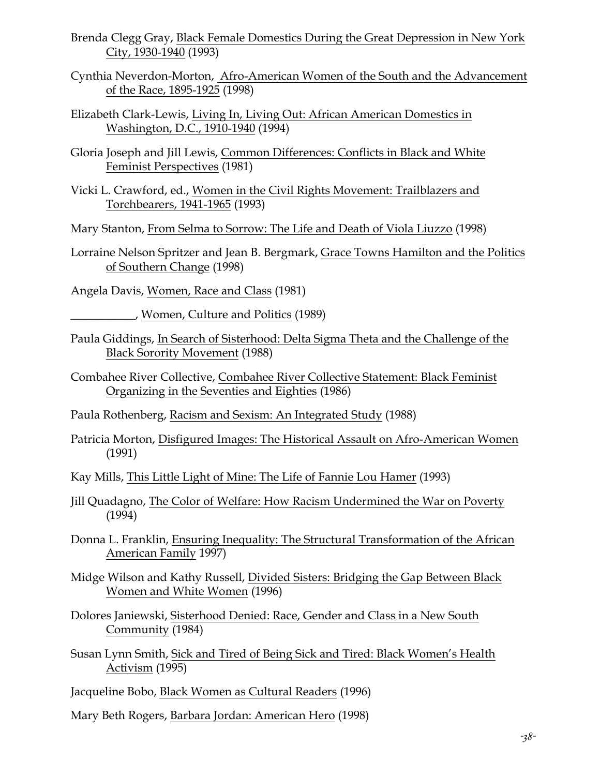- Brenda Clegg Gray, Black Female Domestics During the Great Depression in New York City, 1930-1940 (1993)
- Cynthia Neverdon-Morton, Afro-American Women of the South and the Advancement of the Race, 1895-1925 (1998)
- Elizabeth Clark-Lewis, Living In, Living Out: African American Domestics in Washington, D.C., 1910-1940 (1994)
- Gloria Joseph and Jill Lewis, Common Differences: Conflicts in Black and White Feminist Perspectives (1981)
- Vicki L. Crawford, ed., Women in the Civil Rights Movement: Trailblazers and Torchbearers, 1941-1965 (1993)
- Mary Stanton, From Selma to Sorrow: The Life and Death of Viola Liuzzo (1998)
- Lorraine Nelson Spritzer and Jean B. Bergmark, Grace Towns Hamilton and the Politics of Southern Change (1998)

Angela Davis, Women, Race and Class (1981)

\_\_\_\_\_\_\_\_\_\_\_, Women, Culture and Politics (1989)

- Paula Giddings, In Search of Sisterhood: Delta Sigma Theta and the Challenge of the Black Sorority Movement (1988)
- Combahee River Collective, Combahee River Collective Statement: Black Feminist Organizing in the Seventies and Eighties (1986)

Paula Rothenberg, Racism and Sexism: An Integrated Study (1988)

Patricia Morton, Disfigured Images: The Historical Assault on Afro-American Women (1991)

Kay Mills, This Little Light of Mine: The Life of Fannie Lou Hamer (1993)

- Jill Quadagno, The Color of Welfare: How Racism Undermined the War on Poverty (1994)
- Donna L. Franklin, Ensuring Inequality: The Structural Transformation of the African American Family 1997)
- Midge Wilson and Kathy Russell, Divided Sisters: Bridging the Gap Between Black Women and White Women (1996)
- Dolores Janiewski, Sisterhood Denied: Race, Gender and Class in a New South Community (1984)
- Susan Lynn Smith, Sick and Tired of Being Sick and Tired: Black Women's Health Activism (1995)

Jacqueline Bobo, Black Women as Cultural Readers (1996)

Mary Beth Rogers, Barbara Jordan: American Hero (1998)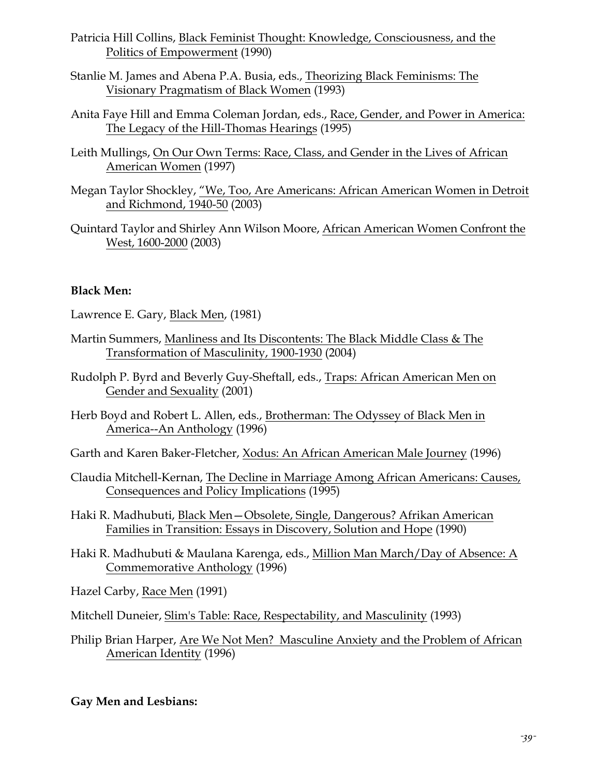- Patricia Hill Collins, Black Feminist Thought: Knowledge, Consciousness, and the Politics of Empowerment (1990)
- Stanlie M. James and Abena P.A. Busia, eds., Theorizing Black Feminisms: The Visionary Pragmatism of Black Women (1993)
- Anita Faye Hill and Emma Coleman Jordan, eds., Race, Gender, and Power in America: The Legacy of the Hill-Thomas Hearings (1995)
- Leith Mullings, On Our Own Terms: Race, Class, and Gender in the Lives of African American Women (1997)
- Megan Taylor Shockley, "We, Too, Are Americans: African American Women in Detroit and Richmond, 1940-50 (2003)
- Quintard Taylor and Shirley Ann Wilson Moore, African American Women Confront the West, 1600-2000 (2003)

## **Black Men:**

Lawrence E. Gary, Black Men, (1981)

- Martin Summers, Manliness and Its Discontents: The Black Middle Class & The Transformation of Masculinity, 1900-1930 (2004)
- Rudolph P. Byrd and Beverly Guy-Sheftall, eds., Traps: African American Men on Gender and Sexuality (2001)
- Herb Boyd and Robert L. Allen, eds., Brotherman: The Odyssey of Black Men in America--An Anthology (1996)

Garth and Karen Baker-Fletcher, Xodus: An African American Male Journey (1996)

- Claudia Mitchell-Kernan, The Decline in Marriage Among African Americans: Causes, Consequences and Policy Implications (1995)
- Haki R. Madhubuti, Black Men—Obsolete, Single, Dangerous? Afrikan American Families in Transition: Essays in Discovery, Solution and Hope (1990)
- Haki R. Madhubuti & Maulana Karenga, eds., Million Man March/Day of Absence: A Commemorative Anthology (1996)
- Hazel Carby, Race Men (1991)
- Mitchell Duneier, Slim's Table: Race, Respectability, and Masculinity (1993)
- Philip Brian Harper, Are We Not Men? Masculine Anxiety and the Problem of African American Identity (1996)

#### **Gay Men and Lesbians:**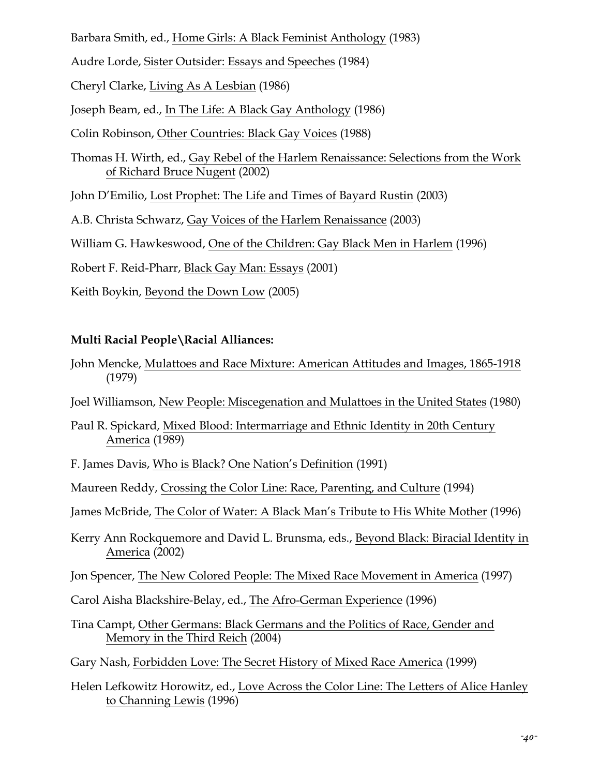Barbara Smith, ed., Home Girls: A Black Feminist Anthology (1983)

Audre Lorde, Sister Outsider: Essays and Speeches (1984)

Cheryl Clarke, Living As A Lesbian (1986)

Joseph Beam, ed., In The Life: A Black Gay Anthology (1986)

Colin Robinson, Other Countries: Black Gay Voices (1988)

Thomas H. Wirth, ed., Gay Rebel of the Harlem Renaissance: Selections from the Work of Richard Bruce Nugent (2002)

John D'Emilio, Lost Prophet: The Life and Times of Bayard Rustin (2003)

A.B. Christa Schwarz, Gay Voices of the Harlem Renaissance (2003)

William G. Hawkeswood, One of the Children: Gay Black Men in Harlem (1996)

Robert F. Reid-Pharr, Black Gay Man: Essays (2001)

Keith Boykin, Beyond the Down Low (2005)

# **Multi Racial People\Racial Alliances:**

- John Mencke, Mulattoes and Race Mixture: American Attitudes and Images, 1865-1918 (1979)
- Joel Williamson, New People: Miscegenation and Mulattoes in the United States (1980)
- Paul R. Spickard, Mixed Blood: Intermarriage and Ethnic Identity in 20th Century America (1989)
- F. James Davis, Who is Black? One Nation's Definition (1991)

Maureen Reddy, Crossing the Color Line: Race, Parenting, and Culture (1994)

James McBride, The Color of Water: A Black Man's Tribute to His White Mother (1996)

Kerry Ann Rockquemore and David L. Brunsma, eds., Beyond Black: Biracial Identity in America (2002)

Jon Spencer, The New Colored People: The Mixed Race Movement in America (1997)

Carol Aisha Blackshire-Belay, ed., The Afro-German Experience (1996)

Tina Campt, Other Germans: Black Germans and the Politics of Race, Gender and Memory in the Third Reich (2004)

Gary Nash, Forbidden Love: The Secret History of Mixed Race America (1999)

Helen Lefkowitz Horowitz, ed., Love Across the Color Line: The Letters of Alice Hanley to Channing Lewis (1996)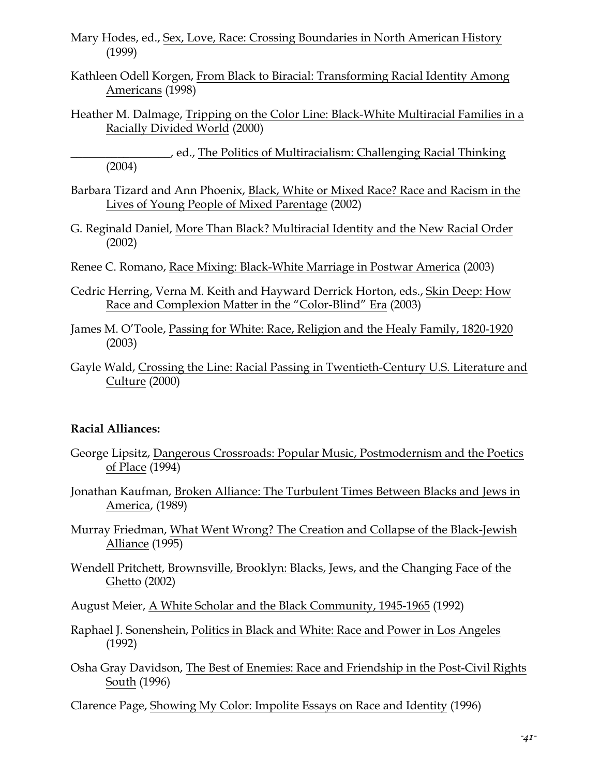- Mary Hodes, ed., Sex, Love, Race: Crossing Boundaries in North American History (1999)
- Kathleen Odell Korgen, From Black to Biracial: Transforming Racial Identity Among Americans (1998)
- Heather M. Dalmage, Tripping on the Color Line: Black-White Multiracial Families in a Racially Divided World (2000)

\_\_\_\_\_\_\_\_\_\_\_\_\_\_\_\_\_, ed., The Politics of Multiracialism: Challenging Racial Thinking (2004)

- Barbara Tizard and Ann Phoenix, Black, White or Mixed Race? Race and Racism in the Lives of Young People of Mixed Parentage (2002)
- G. Reginald Daniel, More Than Black? Multiracial Identity and the New Racial Order (2002)
- Renee C. Romano, Race Mixing: Black-White Marriage in Postwar America (2003)
- Cedric Herring, Verna M. Keith and Hayward Derrick Horton, eds., Skin Deep: How Race and Complexion Matter in the "Color-Blind" Era (2003)
- James M. O'Toole, Passing for White: Race, Religion and the Healy Family, 1820-1920 (2003)
- Gayle Wald, Crossing the Line: Racial Passing in Twentieth-Century U.S. Literature and Culture (2000)

#### **Racial Alliances:**

- George Lipsitz, Dangerous Crossroads: Popular Music, Postmodernism and the Poetics of Place (1994)
- Jonathan Kaufman, Broken Alliance: The Turbulent Times Between Blacks and Jews in America, (1989)
- Murray Friedman, What Went Wrong? The Creation and Collapse of the Black-Jewish Alliance (1995)
- Wendell Pritchett, Brownsville, Brooklyn: Blacks, Jews, and the Changing Face of the Ghetto (2002)
- August Meier, A White Scholar and the Black Community, 1945-1965 (1992)
- Raphael J. Sonenshein, Politics in Black and White: Race and Power in Los Angeles (1992)
- Osha Gray Davidson, The Best of Enemies: Race and Friendship in the Post-Civil Rights South (1996)
- Clarence Page, Showing My Color: Impolite Essays on Race and Identity (1996)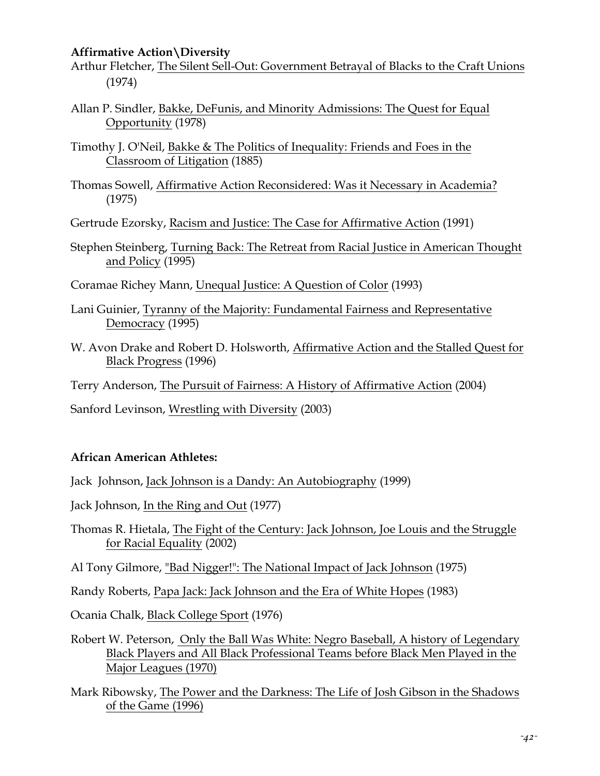#### **Affirmative Action\Diversity**

- Arthur Fletcher, The Silent Sell-Out: Government Betrayal of Blacks to the Craft Unions (1974)
- Allan P. Sindler, Bakke, DeFunis, and Minority Admissions: The Quest for Equal Opportunity (1978)
- Timothy J. O'Neil, Bakke & The Politics of Inequality: Friends and Foes in the Classroom of Litigation (1885)
- Thomas Sowell, Affirmative Action Reconsidered: Was it Necessary in Academia? (1975)

Gertrude Ezorsky, Racism and Justice: The Case for Affirmative Action (1991)

Stephen Steinberg, Turning Back: The Retreat from Racial Justice in American Thought and Policy (1995)

Coramae Richey Mann, Unequal Justice: A Question of Color (1993)

- Lani Guinier, Tyranny of the Majority: Fundamental Fairness and Representative Democracy (1995)
- W. Avon Drake and Robert D. Holsworth, Affirmative Action and the Stalled Quest for Black Progress (1996)

Terry Anderson, The Pursuit of Fairness: A History of Affirmative Action (2004)

Sanford Levinson, Wrestling with Diversity (2003)

# **African American Athletes:**

Jack Johnson, Jack Johnson is a Dandy: An Autobiography (1999)

Jack Johnson, In the Ring and Out (1977)

Thomas R. Hietala, The Fight of the Century: Jack Johnson, Joe Louis and the Struggle for Racial Equality (2002)

Al Tony Gilmore, "Bad Nigger!": The National Impact of Jack Johnson (1975)

Randy Roberts, Papa Jack: Jack Johnson and the Era of White Hopes (1983)

Ocania Chalk, Black College Sport (1976)

- Robert W. Peterson, Only the Ball Was White: Negro Baseball, A history of Legendary Black Players and All Black Professional Teams before Black Men Played in the Major Leagues (1970)
- Mark Ribowsky, The Power and the Darkness: The Life of Josh Gibson in the Shadows of the Game (1996)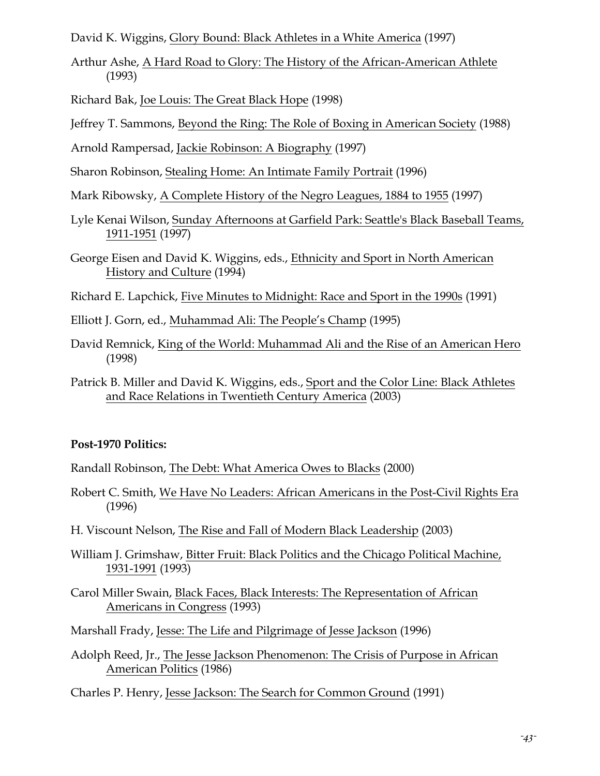David K. Wiggins, Glory Bound: Black Athletes in a White America (1997)

Arthur Ashe, A Hard Road to Glory: The History of the African-American Athlete (1993)

Richard Bak, Joe Louis: The Great Black Hope (1998)

Jeffrey T. Sammons, Beyond the Ring: The Role of Boxing in American Society (1988)

Arnold Rampersad, Jackie Robinson: A Biography (1997)

Sharon Robinson, Stealing Home: An Intimate Family Portrait (1996)

Mark Ribowsky, A Complete History of the Negro Leagues, 1884 to 1955 (1997)

- Lyle Kenai Wilson, Sunday Afternoons at Garfield Park: Seattle's Black Baseball Teams, 1911-1951 (1997)
- George Eisen and David K. Wiggins, eds., Ethnicity and Sport in North American History and Culture (1994)

Richard E. Lapchick, Five Minutes to Midnight: Race and Sport in the 1990s (1991)

- Elliott J. Gorn, ed., Muhammad Ali: The People's Champ (1995)
- David Remnick, King of the World: Muhammad Ali and the Rise of an American Hero (1998)
- Patrick B. Miller and David K. Wiggins, eds., Sport and the Color Line: Black Athletes and Race Relations in Twentieth Century America (2003)

#### **Post-1970 Politics:**

Randall Robinson, The Debt: What America Owes to Blacks (2000)

- Robert C. Smith, We Have No Leaders: African Americans in the Post-Civil Rights Era (1996)
- H. Viscount Nelson, The Rise and Fall of Modern Black Leadership (2003)
- William J. Grimshaw, Bitter Fruit: Black Politics and the Chicago Political Machine, 1931-1991 (1993)
- Carol Miller Swain, Black Faces, Black Interests: The Representation of African Americans in Congress (1993)

Marshall Frady, Jesse: The Life and Pilgrimage of Jesse Jackson (1996)

Adolph Reed, Jr., The Jesse Jackson Phenomenon: The Crisis of Purpose in African American Politics (1986)

Charles P. Henry, Jesse Jackson: The Search for Common Ground (1991)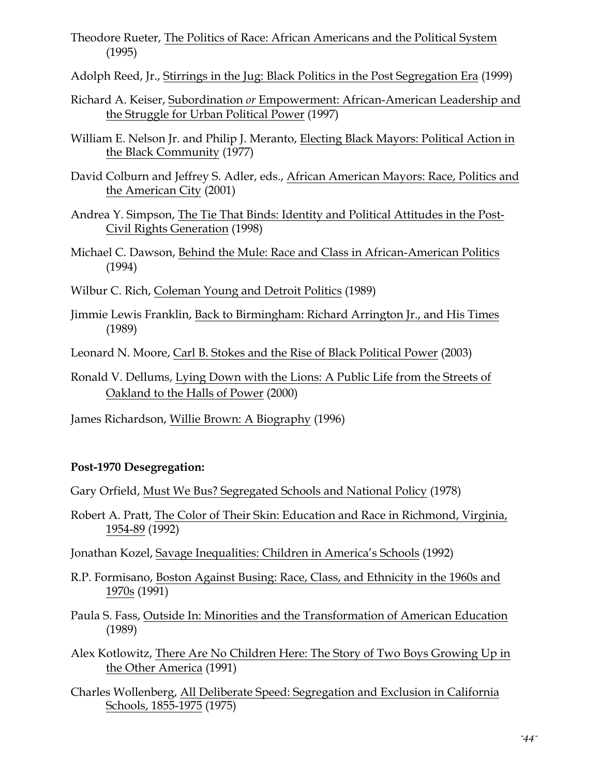- Theodore Rueter, The Politics of Race: African Americans and the Political System (1995)
- Adolph Reed, Jr., Stirrings in the Jug: Black Politics in the Post Segregation Era (1999)
- Richard A. Keiser, Subordination *or* Empowerment: African-American Leadership and the Struggle for Urban Political Power (1997)
- William E. Nelson Jr. and Philip J. Meranto, Electing Black Mayors: Political Action in the Black Community (1977)
- David Colburn and Jeffrey S. Adler, eds., African American Mayors: Race, Politics and the American City (2001)
- Andrea Y. Simpson, The Tie That Binds: Identity and Political Attitudes in the Post-Civil Rights Generation (1998)
- Michael C. Dawson, Behind the Mule: Race and Class in African-American Politics (1994)
- Wilbur C. Rich, Coleman Young and Detroit Politics (1989)
- Jimmie Lewis Franklin, Back to Birmingham: Richard Arrington Jr., and His Times (1989)
- Leonard N. Moore, Carl B. Stokes and the Rise of Black Political Power (2003)
- Ronald V. Dellums, Lying Down with the Lions: A Public Life from the Streets of Oakland to the Halls of Power (2000)

James Richardson, Willie Brown: A Biography (1996)

# **Post-1970 Desegregation:**

Gary Orfield, Must We Bus? Segregated Schools and National Policy (1978)

Robert A. Pratt, The Color of Their Skin: Education and Race in Richmond, Virginia, 1954-89 (1992)

Jonathan Kozel, Savage Inequalities: Children in America's Schools (1992)

- R.P. Formisano, Boston Against Busing: Race, Class, and Ethnicity in the 1960s and 1970s (1991)
- Paula S. Fass, Outside In: Minorities and the Transformation of American Education (1989)
- Alex Kotlowitz, There Are No Children Here: The Story of Two Boys Growing Up in the Other America (1991)
- Charles Wollenberg, All Deliberate Speed: Segregation and Exclusion in California Schools, 1855-1975 (1975)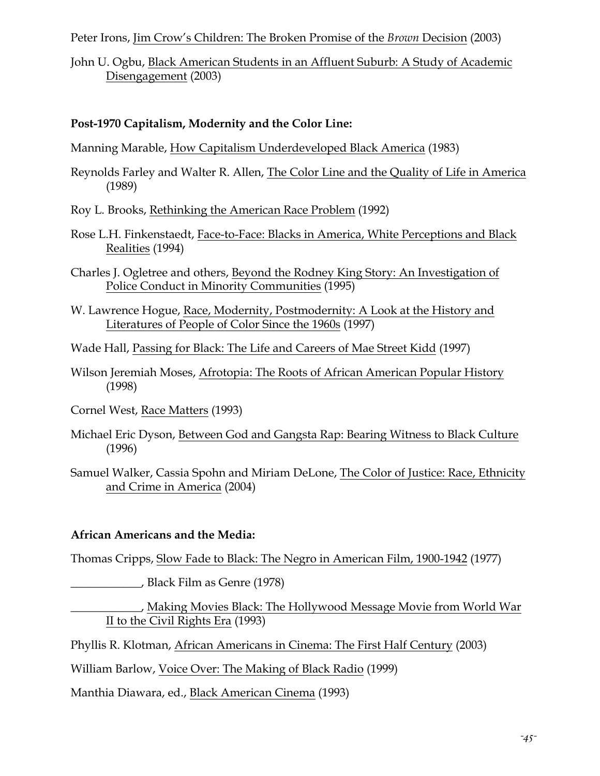Peter Irons, Jim Crow's Children: The Broken Promise of the *Brown* Decision (2003)

John U. Ogbu, Black American Students in an Affluent Suburb: A Study of Academic Disengagement (2003)

## **Post-1970 Capitalism, Modernity and the Color Line:**

Manning Marable, How Capitalism Underdeveloped Black America (1983)

- Reynolds Farley and Walter R. Allen, The Color Line and the Quality of Life in America (1989)
- Roy L. Brooks, Rethinking the American Race Problem (1992)
- Rose L.H. Finkenstaedt, Face-to-Face: Blacks in America, White Perceptions and Black Realities (1994)
- Charles J. Ogletree and others, Beyond the Rodney King Story: An Investigation of Police Conduct in Minority Communities (1995)
- W. Lawrence Hogue, Race, Modernity, Postmodernity: A Look at the History and Literatures of People of Color Since the 1960s (1997)
- Wade Hall, Passing for Black: The Life and Careers of Mae Street Kidd (1997)
- Wilson Jeremiah Moses, Afrotopia: The Roots of African American Popular History (1998)
- Cornel West, Race Matters (1993)
- Michael Eric Dyson, Between God and Gangsta Rap: Bearing Witness to Black Culture (1996)
- Samuel Walker, Cassia Spohn and Miriam DeLone, The Color of Justice: Race, Ethnicity and Crime in America (2004)

#### **African Americans and the Media:**

Thomas Cripps, Slow Fade to Black: The Negro in American Film, 1900-1942 (1977)

\_\_\_\_\_\_\_\_\_\_\_\_, Black Film as Genre (1978)

\_\_\_\_\_\_\_\_\_\_\_\_, Making Movies Black: The Hollywood Message Movie from World War II to the Civil Rights Era (1993)

Phyllis R. Klotman, African Americans in Cinema: The First Half Century (2003)

William Barlow, Voice Over: The Making of Black Radio (1999)

Manthia Diawara, ed., Black American Cinema (1993)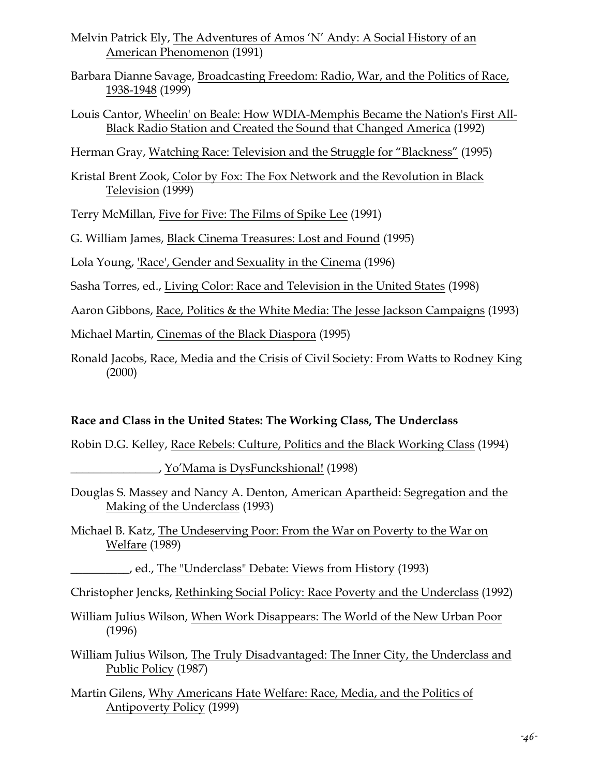- Melvin Patrick Ely, The Adventures of Amos 'N' Andy: A Social History of an American Phenomenon (1991)
- Barbara Dianne Savage, Broadcasting Freedom: Radio, War, and the Politics of Race, 1938-1948 (1999)
- Louis Cantor, Wheelin' on Beale: How WDIA-Memphis Became the Nation's First All-Black Radio Station and Created the Sound that Changed America (1992)

Herman Gray, Watching Race: Television and the Struggle for "Blackness" (1995)

Kristal Brent Zook, Color by Fox: The Fox Network and the Revolution in Black Television (1999)

Terry McMillan, Five for Five: The Films of Spike Lee (1991)

G. William James, Black Cinema Treasures: Lost and Found (1995)

Lola Young, 'Race', Gender and Sexuality in the Cinema (1996)

Sasha Torres, ed., Living Color: Race and Television in the United States (1998)

Aaron Gibbons, Race, Politics & the White Media: The Jesse Jackson Campaigns (1993)

Michael Martin, Cinemas of the Black Diaspora (1995)

Ronald Jacobs, Race, Media and the Crisis of Civil Society: From Watts to Rodney King (2000)

# **Race and Class in the United States: The Working Class, The Underclass**

Robin D.G. Kelley, Race Rebels: Culture, Politics and the Black Working Class (1994)

\_\_\_\_\_\_\_\_\_\_\_\_\_\_\_, Yo'Mama is DysFunckshional! (1998)

- Douglas S. Massey and Nancy A. Denton, American Apartheid: Segregation and the Making of the Underclass (1993)
- Michael B. Katz, The Undeserving Poor: From the War on Poverty to the War on Welfare (1989)

\_\_\_\_\_\_\_\_\_\_, ed., The "Underclass" Debate: Views from History (1993)

Christopher Jencks, Rethinking Social Policy: Race Poverty and the Underclass (1992)

William Julius Wilson, When Work Disappears: The World of the New Urban Poor (1996)

William Julius Wilson, The Truly Disadvantaged: The Inner City, the Underclass and Public Policy (1987)

Martin Gilens, Why Americans Hate Welfare: Race, Media, and the Politics of Antipoverty Policy (1999)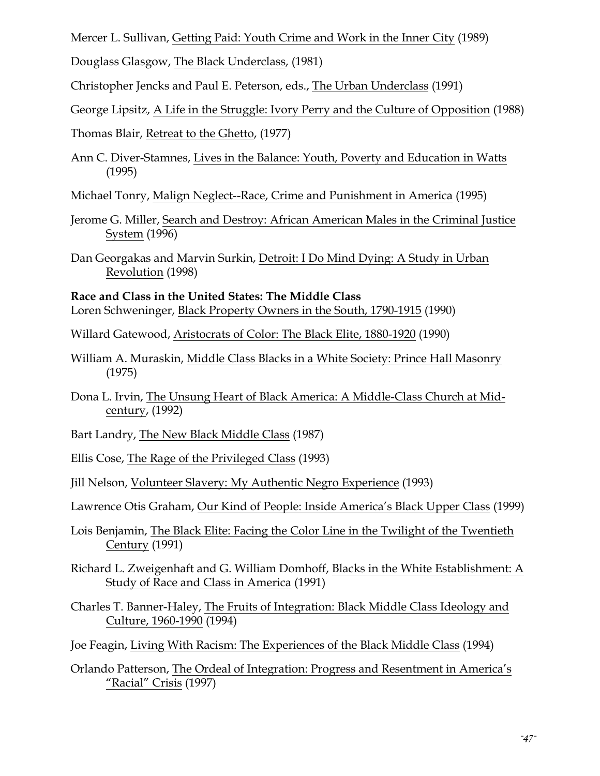Mercer L. Sullivan, Getting Paid: Youth Crime and Work in the Inner City (1989)

Douglass Glasgow, The Black Underclass, (1981)

Christopher Jencks and Paul E. Peterson, eds., The Urban Underclass (1991)

George Lipsitz, A Life in the Struggle: Ivory Perry and the Culture of Opposition (1988)

Thomas Blair, Retreat to the Ghetto, (1977)

Ann C. Diver-Stamnes, Lives in the Balance: Youth, Poverty and Education in Watts (1995)

Michael Tonry, Malign Neglect--Race, Crime and Punishment in America (1995)

- Jerome G. Miller, Search and Destroy: African American Males in the Criminal Justice System (1996)
- Dan Georgakas and Marvin Surkin, Detroit: I Do Mind Dying: A Study in Urban Revolution (1998)

**Race and Class in the United States: The Middle Class** Loren Schweninger, Black Property Owners in the South, 1790-1915 (1990)

Willard Gatewood, Aristocrats of Color: The Black Elite, 1880-1920 (1990)

- William A. Muraskin, Middle Class Blacks in a White Society: Prince Hall Masonry (1975)
- Dona L. Irvin, The Unsung Heart of Black America: A Middle-Class Church at Midcentury, (1992)

Bart Landry, The New Black Middle Class (1987)

Ellis Cose, The Rage of the Privileged Class (1993)

Jill Nelson, Volunteer Slavery: My Authentic Negro Experience (1993)

Lawrence Otis Graham, Our Kind of People: Inside America's Black Upper Class (1999)

- Lois Benjamin, The Black Elite: Facing the Color Line in the Twilight of the Twentieth Century (1991)
- Richard L. Zweigenhaft and G. William Domhoff, Blacks in the White Establishment: A Study of Race and Class in America (1991)

Charles T. Banner-Haley, The Fruits of Integration: Black Middle Class Ideology and Culture, 1960-1990 (1994)

Joe Feagin, Living With Racism: The Experiences of the Black Middle Class (1994)

Orlando Patterson, The Ordeal of Integration: Progress and Resentment in America's "Racial" Crisis (1997)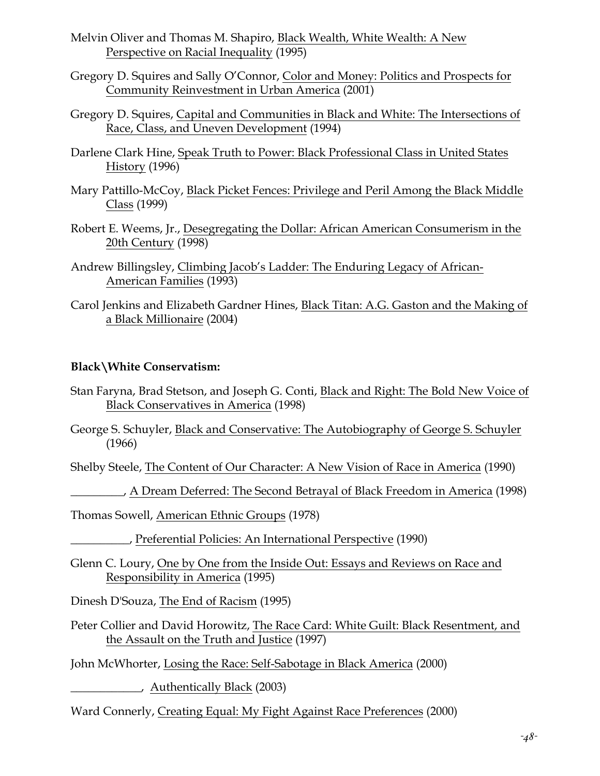- Melvin Oliver and Thomas M. Shapiro, Black Wealth, White Wealth: A New Perspective on Racial Inequality (1995)
- Gregory D. Squires and Sally O'Connor, Color and Money: Politics and Prospects for Community Reinvestment in Urban America (2001)
- Gregory D. Squires, Capital and Communities in Black and White: The Intersections of Race, Class, and Uneven Development (1994)
- Darlene Clark Hine, Speak Truth to Power: Black Professional Class in United States History (1996)
- Mary Pattillo-McCoy, Black Picket Fences: Privilege and Peril Among the Black Middle Class (1999)
- Robert E. Weems, Jr., Desegregating the Dollar: African American Consumerism in the 20th Century (1998)
- Andrew Billingsley, Climbing Jacob's Ladder: The Enduring Legacy of African-American Families (1993)
- Carol Jenkins and Elizabeth Gardner Hines, Black Titan: A.G. Gaston and the Making of a Black Millionaire (2004)

#### **Black\White Conservatism:**

- Stan Faryna, Brad Stetson, and Joseph G. Conti, Black and Right: The Bold New Voice of Black Conservatives in America (1998)
- George S. Schuyler, Black and Conservative: The Autobiography of George S. Schuyler (1966)

Shelby Steele, The Content of Our Character: A New Vision of Race in America (1990)

\_\_\_\_\_\_\_\_\_, A Dream Deferred: The Second Betrayal of Black Freedom in America (1998)

Thomas Sowell, American Ethnic Groups (1978)

\_\_\_\_\_\_\_\_\_\_, Preferential Policies: An International Perspective (1990)

Glenn C. Loury, One by One from the Inside Out: Essays and Reviews on Race and Responsibility in America (1995)

Dinesh D'Souza, The End of Racism (1995)

Peter Collier and David Horowitz, The Race Card: White Guilt: Black Resentment, and the Assault on the Truth and Justice (1997)

John McWhorter, Losing the Race: Self-Sabotage in Black America (2000)

\_\_\_\_\_\_\_\_\_\_\_\_, Authentically Black (2003)

Ward Connerly, Creating Equal: My Fight Against Race Preferences (2000)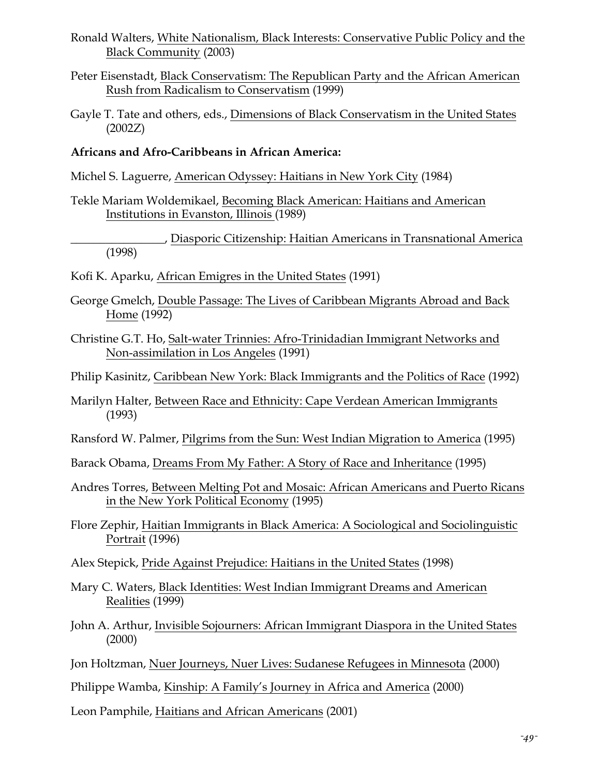- Ronald Walters, White Nationalism, Black Interests: Conservative Public Policy and the Black Community (2003)
- Peter Eisenstadt, Black Conservatism: The Republican Party and the African American Rush from Radicalism to Conservatism (1999)
- Gayle T. Tate and others, eds., Dimensions of Black Conservatism in the United States (2002Z)

#### **Africans and Afro-Caribbeans in African America:**

Michel S. Laguerre, American Odyssey: Haitians in New York City (1984)

Tekle Mariam Woldemikael, Becoming Black American: Haitians and American Institutions in Evanston, Illinois (1989)

\_\_\_\_\_\_\_\_\_\_\_\_\_\_\_\_, Diasporic Citizenship: Haitian Americans in Transnational America (1998)

- Kofi K. Aparku, African Emigres in the United States (1991)
- George Gmelch, Double Passage: The Lives of Caribbean Migrants Abroad and Back Home (1992)
- Christine G.T. Ho, Salt-water Trinnies: Afro-Trinidadian Immigrant Networks and Non-assimilation in Los Angeles (1991)
- Philip Kasinitz, Caribbean New York: Black Immigrants and the Politics of Race (1992)
- Marilyn Halter, Between Race and Ethnicity: Cape Verdean American Immigrants (1993)
- Ransford W. Palmer, Pilgrims from the Sun: West Indian Migration to America (1995)

Barack Obama, Dreams From My Father: A Story of Race and Inheritance (1995)

- Andres Torres, Between Melting Pot and Mosaic: African Americans and Puerto Ricans in the New York Political Economy (1995)
- Flore Zephir, Haitian Immigrants in Black America: A Sociological and Sociolinguistic Portrait (1996)
- Alex Stepick, Pride Against Prejudice: Haitians in the United States (1998)
- Mary C. Waters, Black Identities: West Indian Immigrant Dreams and American Realities (1999)
- John A. Arthur, Invisible Sojourners: African Immigrant Diaspora in the United States (2000)
- Jon Holtzman, Nuer Journeys, Nuer Lives: Sudanese Refugees in Minnesota (2000)

Philippe Wamba, Kinship: A Family's Journey in Africa and America (2000)

Leon Pamphile, Haitians and African Americans (2001)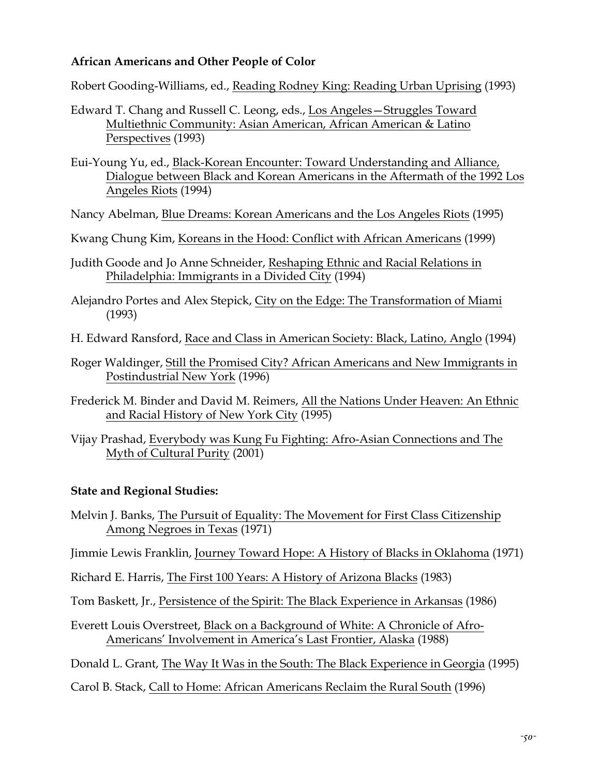## **African Americans and Other People of Color**

Robert Gooding-Williams, ed., Reading Rodney King: Reading Urban Uprising (1993)

Edward T. Chang and Russell C. Leong, eds., Los Angeles—Struggles Toward Multiethnic Community: Asian American, African American & Latino Perspectives (1993)

Eui-Young Yu, ed., Black-Korean Encounter: Toward Understanding and Alliance, Dialogue between Black and Korean Americans in the Aftermath of the 1992 Los Angeles Riots (1994)

Nancy Abelman, Blue Dreams: Korean Americans and the Los Angeles Riots (1995)

Kwang Chung Kim, Koreans in the Hood: Conflict with African Americans (1999)

Judith Goode and Jo Anne Schneider, Reshaping Ethnic and Racial Relations in Philadelphia: Immigrants in a Divided City (1994)

Alejandro Portes and Alex Stepick, City on the Edge: The Transformation of Miami (1993)

- H. Edward Ransford, Race and Class in American Society: Black, Latino, Anglo (1994)
- Roger Waldinger, Still the Promised City? African Americans and New Immigrants in Postindustrial New York (1996)
- Frederick M. Binder and David M. Reimers, All the Nations Under Heaven: An Ethnic and Racial History of New York City (1995)
- Vijay Prashad, Everybody was Kung Fu Fighting: Afro-Asian Connections and The Myth of Cultural Purity (2001)

#### **State and Regional Studies:**

Melvin J. Banks, The Pursuit of Equality: The Movement for First Class Citizenship Among Negroes in Texas (1971)

Jimmie Lewis Franklin, Journey Toward Hope: A History of Blacks in Oklahoma (1971)

Richard E. Harris, The First 100 Years: A History of Arizona Blacks (1983)

Tom Baskett, Jr., Persistence of the Spirit: The Black Experience in Arkansas (1986)

Everett Louis Overstreet, Black on a Background of White: A Chronicle of Afro-Americans' Involvement in America's Last Frontier, Alaska (1988)

Donald L. Grant, The Way It Was in the South: The Black Experience in Georgia (1995)

Carol B. Stack, Call to Home: African Americans Reclaim the Rural South (1996)